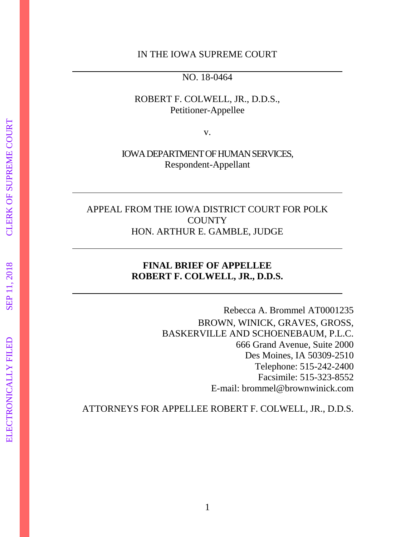#### IN THE IOWA SUPREME COURT

NO. 18-0464

#### ROBERT F. COLWELL, JR., D.D.S., Petitioner-Appellee

v.

IOWA DEPARTMENT OF HUMAN SERVICES, Respondent-Appellant

### APPEAL FROM THE IOWA DISTRICT COURT FOR POLK **COUNTY** HON. ARTHUR E. GAMBLE, JUDGE

#### **FINAL BRIEF OF APPELLEE ROBERT F. COLWELL, JR., D.D.S.**

Rebecca A. Brommel AT0001235 BROWN, WINICK, GRAVES, GROSS, BASKERVILLE AND SCHOENEBAUM, P.L.C. 666 Grand Avenue, Suite 2000 Des Moines, IA 50309-2510 Telephone: 515-242-2400 Facsimile: 515-323-8552 E-mail: brommel@brownwinick.com

ATTORNEYS FOR APPELLEE ROBERT F. COLWELL, JR., D.D.S.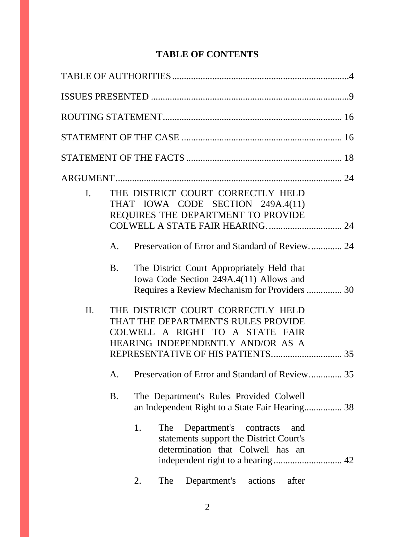## **TABLE OF CONTENTS**

| $\mathbf{I}$ . |           |    |            | THE DISTRICT COURT CORRECTLY HELD<br>THAT IOWA CODE SECTION 249A.4(11)<br>REQUIRES THE DEPARTMENT TO PROVIDE                                     |
|----------------|-----------|----|------------|--------------------------------------------------------------------------------------------------------------------------------------------------|
|                | A.        |    |            | Preservation of Error and Standard of Review 24                                                                                                  |
|                | <b>B.</b> |    |            | The District Court Appropriately Held that<br>Iowa Code Section 249A.4(11) Allows and<br>Requires a Review Mechanism for Providers  30           |
| II.            |           |    |            | THE DISTRICT COURT CORRECTLY HELD<br>THAT THE DEPARTMENT'S RULES PROVIDE<br>COLWELL A RIGHT TO A STATE FAIR<br>HEARING INDEPENDENTLY AND/OR AS A |
|                |           |    |            | A. Preservation of Error and Standard of Review 35                                                                                               |
|                | <b>B.</b> |    |            | The Department's Rules Provided Colwell<br>an Independent Right to a State Fair Hearing 38                                                       |
|                |           | 1. | <b>The</b> | Department's contracts<br>and<br>statements support the District Court's<br>determination that Colwell has an                                    |
|                |           | 2. | The        | Department's<br>actions<br>after                                                                                                                 |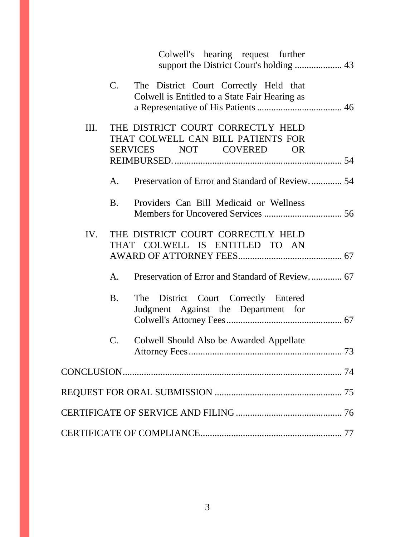|     |                | Colwell's hearing request further                                                                  |    |
|-----|----------------|----------------------------------------------------------------------------------------------------|----|
|     | $C_{\cdot}$    | The District Court Correctly Held that<br>Colwell is Entitled to a State Fair Hearing as           |    |
| Ш.  |                | THE DISTRICT COURT CORRECTLY HELD<br>THAT COLWELL CAN BILL PATIENTS FOR<br>SERVICES NOT COVERED OR |    |
|     |                |                                                                                                    |    |
|     | A.             | Preservation of Error and Standard of Review 54                                                    |    |
|     | <b>B</b> .     | Providers Can Bill Medicaid or Wellness                                                            |    |
| IV. |                | THE DISTRICT COURT CORRECTLY HELD<br>THAT COLWELL IS ENTITLED TO AN                                |    |
|     | A.             | Preservation of Error and Standard of Review 67                                                    |    |
|     | <b>B.</b>      | The District Court Correctly Entered<br>Judgment Against the Department for                        |    |
|     | $\mathbf{C}$ . | Colwell Should Also be Awarded Appellate<br>Attorney Fees                                          | 73 |
|     |                |                                                                                                    |    |
|     |                |                                                                                                    |    |
|     |                |                                                                                                    |    |
|     |                |                                                                                                    |    |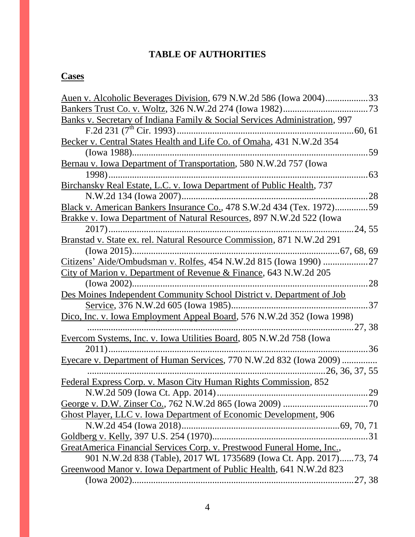## **TABLE OF AUTHORITIES**

# **Cases**

| Auen v. Alcoholic Beverages Division, 679 N.W.2d 586 (Iowa 2004)33         |         |
|----------------------------------------------------------------------------|---------|
| Bankers Trust Co. v. Woltz, 326 N.W.2d 274 (Iowa 1982)                     |         |
| Banks v. Secretary of Indiana Family & Social Services Administration, 997 |         |
| F.2d 231 $(7th$ Cir. 1993)                                                 | .60, 61 |
| Becker v. Central States Health and Life Co. of Omaha, 431 N.W.2d 354      |         |
|                                                                            | 59      |
| Bernau v. Iowa Department of Transportation, 580 N.W.2d 757 (Iowa          |         |
| . 63                                                                       |         |
| Birchansky Real Estate, L.C. v. Iowa Department of Public Health, 737      |         |
| N.W.2d 134 (Iowa 2007)                                                     | .28     |
| Black v. American Bankers Insurance Co., 478 S.W.2d 434 (Tex. 1972)59      |         |
| Brakke v. Iowa Department of Natural Resources, 897 N.W.2d 522 (Iowa       |         |
| $2017)$                                                                    | 24, 55  |
| Branstad v. State ex. rel. Natural Resource Commission, 871 N.W.2d 291     |         |
|                                                                            |         |
| Citizens' Aide/Ombudsman v. Rolfes, 454 N.W.2d 815 (Iowa 1990) 27          |         |
| City of Marion v. Department of Revenue & Finance, 643 N.W.2d 205          |         |
| $(Iowa 2002)$                                                              | 28      |
| Des Moines Independent Community School District v. Department of Job      |         |
| Service, 376 N.W.2d 605 (Iowa 1985)                                        | .37     |
| Dico, Inc. v. Iowa Employment Appeal Board, 576 N.W.2d 352 (Iowa 1998)     |         |
| 27, 38                                                                     |         |
| <u>Evercom Systems, Inc. v. Iowa Utilities Board, 805 N.W.2d 758 (Iowa</u> |         |
| . 36                                                                       |         |
| Eyecare v. Department of Human Services, 770 N.W.2d 832 (Iowa 2009)        |         |
| 26, 36, 37, 55                                                             |         |
| Federal Express Corp. v. Mason City Human Rights Commission, 852           |         |
|                                                                            | 29      |
|                                                                            |         |
| <b>Ghost Player, LLC v. Iowa Department of Economic Development, 906</b>   |         |
|                                                                            |         |
|                                                                            |         |
| GreatAmerica Financial Services Corp. v. Prestwood Funeral Home, Inc.,     |         |
| 901 N.W.2d 838 (Table), 2017 WL 1735689 (Iowa Ct. App. 2017)73, 74         |         |
| Greenwood Manor v. Iowa Department of Public Health, 641 N.W.2d 823        |         |
|                                                                            |         |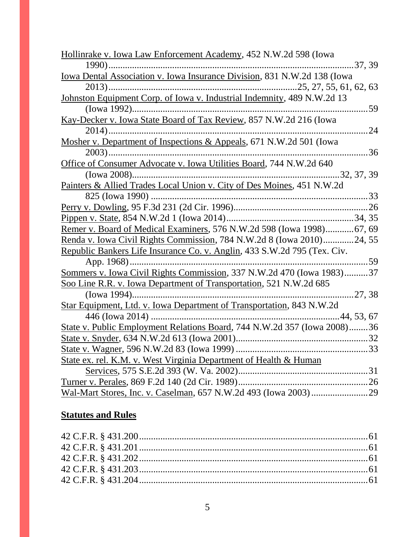| Hollinrake v. Iowa Law Enforcement Academy, 452 N.W.2d 598 (Iowa         |
|--------------------------------------------------------------------------|
|                                                                          |
|                                                                          |
|                                                                          |
| Johnston Equipment Corp. of Iowa v. Industrial Indemnity, 489 N.W.2d 13  |
| .59                                                                      |
| Kay-Decker v. Iowa State Board of Tax Review, 857 N.W.2d 216 (Iowa       |
| .24                                                                      |
| Mosher v. Department of Inspections & Appeals, 671 N.W.2d 501 (Iowa      |
| .36                                                                      |
| Office of Consumer Advocate v. Iowa Utilities Board, 744 N.W.2d 640      |
|                                                                          |
| Painters & Allied Trades Local Union v. City of Des Moines, 451 N.W.2d   |
|                                                                          |
|                                                                          |
|                                                                          |
| Remer v. Board of Medical Examiners, 576 N.W.2d 598 (Iowa 1998)67, 69    |
| Renda v. Iowa Civil Rights Commission, 784 N.W.2d 8 (Iowa 2010)24, 55    |
| Republic Bankers Life Insurance Co. v. Anglin, 433 S.W.2d 795 (Tex. Civ. |
|                                                                          |
| Sommers v. Iowa Civil Rights Commission, 337 N.W.2d 470 (Iowa 1983)37    |
| Soo Line R.R. v. Iowa Department of Transportation, 521 N.W.2d 685       |
| 27, 38                                                                   |
| Star Equipment, Ltd. v. Iowa Department of Transportation, 843 N.W.2d    |
|                                                                          |
| State v. Public Employment Relations Board, 744 N.W.2d 357 (Iowa 2008)36 |
|                                                                          |
|                                                                          |
| State ex. rel. K.M. v. West Virginia Department of Health & Human        |
|                                                                          |
|                                                                          |
|                                                                          |

# **Statutes and Rules**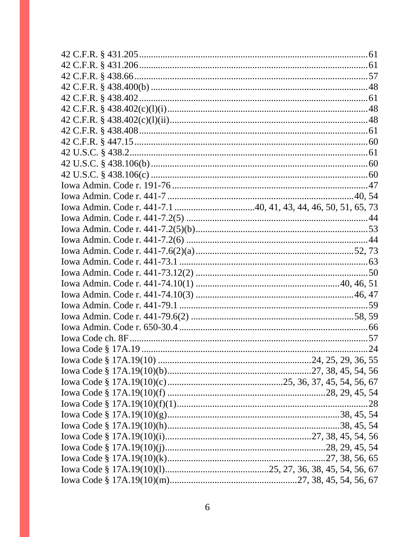|  |  |  | 28 |
|--|--|--|----|
|  |  |  |    |
|  |  |  |    |
|  |  |  |    |
|  |  |  |    |
|  |  |  |    |
|  |  |  |    |
|  |  |  |    |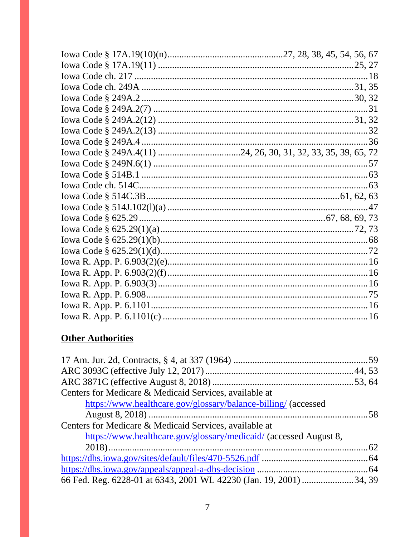| 36 |
|----|
|    |
|    |
|    |
|    |
|    |
|    |
|    |
|    |
|    |
|    |
|    |
|    |
|    |
|    |
|    |
|    |

# **Other Authorities**

| Centers for Medicare & Medicaid Services, available at            |  |
|-------------------------------------------------------------------|--|
| https://www.healthcare.gov/glossary/balance-billing/ (accessed    |  |
|                                                                   |  |
| Centers for Medicare & Medicaid Services, available at            |  |
| https://www.healthcare.gov/glossary/medicaid/ (accessed August 8, |  |
|                                                                   |  |
|                                                                   |  |
|                                                                   |  |
|                                                                   |  |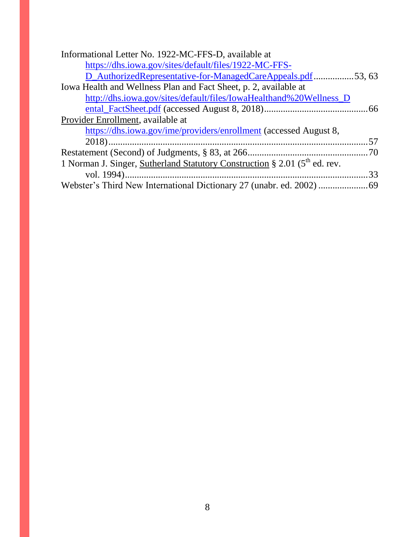| Informational Letter No. 1922-MC-FFS-D, available at                          |    |
|-------------------------------------------------------------------------------|----|
| https://dhs.iowa.gov/sites/default/files/1922-MC-FFS-                         |    |
| D_AuthorizedRepresentative-for-ManagedCareAppeals.pdf53,63                    |    |
| Iowa Health and Wellness Plan and Fact Sheet, p. 2, available at              |    |
| http://dhs.iowa.gov/sites/default/files/IowaHealthand%20Wellness_D            |    |
|                                                                               |    |
| Provider Enrollment, available at                                             |    |
| https://dhs.iowa.gov/ime/providers/enrollment (accessed August 8,             |    |
|                                                                               |    |
|                                                                               |    |
| 1 Norman J. Singer, Sutherland Statutory Construction § 2.01 ( $5th$ ed. rev. |    |
|                                                                               | 33 |
|                                                                               |    |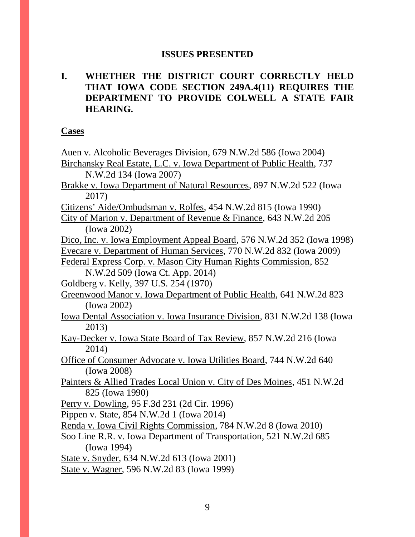#### **ISSUES PRESENTED**

### **I. WHETHER THE DISTRICT COURT CORRECTLY HELD THAT IOWA CODE SECTION 249A.4(11) REQUIRES THE DEPARTMENT TO PROVIDE COLWELL A STATE FAIR HEARING.**

**Cases**

| Auen v. Alcoholic Beverages Division, 679 N.W.2d 586 (Iowa 2004)         |
|--------------------------------------------------------------------------|
| Birchansky Real Estate, L.C. v. Iowa Department of Public Health, 737    |
| N.W.2d 134 (Iowa 2007)                                                   |
| Brakke v. Iowa Department of Natural Resources, 897 N.W.2d 522 (Iowa     |
| 2017)                                                                    |
| Citizens' Aide/Ombudsman v. Rolfes, 454 N.W.2d 815 (Iowa 1990)           |
| City of Marion v. Department of Revenue & Finance, 643 N.W.2d 205        |
| (Iowa 2002)                                                              |
| Dico, Inc. v. Iowa Employment Appeal Board, 576 N.W.2d 352 (Iowa 1998)   |
| Eyecare v. Department of Human Services, 770 N.W.2d 832 (Iowa 2009)      |
| Federal Express Corp. v. Mason City Human Rights Commission, 852         |
| N.W.2d 509 (Iowa Ct. App. 2014)                                          |
| Goldberg v. Kelly, 397 U.S. 254 (1970)                                   |
| Greenwood Manor v. Iowa Department of Public Health, 641 N.W.2d 823      |
| (Iowa 2002)                                                              |
| Iowa Dental Association v. Iowa Insurance Division, 831 N.W.2d 138 (Iowa |
| 2013)                                                                    |
| Kay-Decker v. Iowa State Board of Tax Review, 857 N.W.2d 216 (Iowa       |
| 2014)                                                                    |
| Office of Consumer Advocate v. Iowa Utilities Board, 744 N.W.2d 640      |
| (Iowa 2008)                                                              |
| Painters & Allied Trades Local Union v. City of Des Moines, 451 N.W.2d   |
| 825 (Iowa 1990)                                                          |
| Perry v. Dowling, 95 F.3d 231 (2d Cir. 1996)                             |
| Pippen v. State, 854 N.W.2d 1 (Iowa 2014)                                |
| Renda v. Iowa Civil Rights Commission, 784 N.W.2d 8 (Iowa 2010)          |
| Soo Line R.R. v. Iowa Department of Transportation, 521 N.W.2d 685       |
| (Iowa 1994)                                                              |
| State v. Snyder, 634 N.W.2d 613 (Iowa 2001)                              |
| State v. Wagner, 596 N.W.2d 83 (Iowa 1999)                               |
|                                                                          |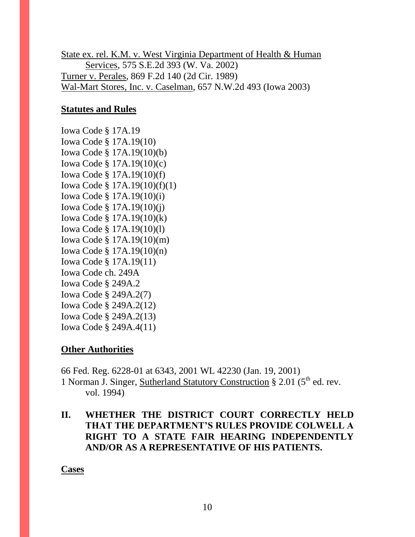State ex. rel. K.M. v. West Virginia Department of Health & Human Services, 575 S.E.2d 393 (W. Va. 2002) Turner v. Perales, 869 F.2d 140 (2d Cir. 1989) Wal-Mart Stores, Inc. v. Caselman, 657 N.W.2d 493 (Iowa 2003)

### **Statutes and Rules**

Iowa Code § 17A.19 Iowa Code § 17A.19(10) Iowa Code § 17A.19(10)(b) Iowa Code § 17A.19(10)(c) Iowa Code § 17A.19(10)(f) Iowa Code § 17A.19(10)(f)(1) Iowa Code § 17A.19(10)(i) Iowa Code § 17A.19(10)(j) Iowa Code § 17A.19(10)(k) Iowa Code § 17A.19(10)(l) Iowa Code § 17A.19(10)(m) Iowa Code § 17A.19(10)(n) Iowa Code § 17A.19(11) Iowa Code ch. 249A Iowa Code § 249A.2 Iowa Code § 249A.2(7) Iowa Code § 249A.2(12) Iowa Code § 249A.2(13) Iowa Code § 249A.4(11)

#### **Other Authorities**

66 Fed. Reg. 6228-01 at 6343, 2001 WL 42230 (Jan. 19, 2001) 1 Norman J. Singer, Sutherland Statutory Construction  $\S 2.01$  ( $5<sup>th</sup>$  ed. rev. vol. 1994)

### **II. WHETHER THE DISTRICT COURT CORRECTLY HELD THAT THE DEPARTMENT'S RULES PROVIDE COLWELL A RIGHT TO A STATE FAIR HEARING INDEPENDENTLY AND/OR AS A REPRESENTATIVE OF HIS PATIENTS.**

**Cases**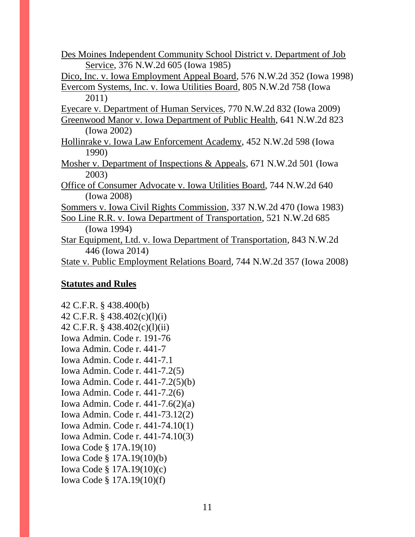Des Moines Independent Community School District v. Department of Job Service, 376 N.W.2d 605 (Iowa 1985)

Dico, Inc. v. Iowa Employment Appeal Board, 576 N.W.2d 352 (Iowa 1998) Evercom Systems, Inc. v. Iowa Utilities Board, 805 N.W.2d 758 (Iowa

2011)

Eyecare v. Department of Human Services, 770 N.W.2d 832 (Iowa 2009)

Greenwood Manor v. Iowa Department of Public Health, 641 N.W.2d 823 (Iowa 2002)

- Hollinrake v. Iowa Law Enforcement Academy, 452 N.W.2d 598 (Iowa 1990)
- Mosher v. Department of Inspections & Appeals, 671 N.W.2d 501 (Iowa 2003)
- Office of Consumer Advocate v. Iowa Utilities Board, 744 N.W.2d 640 (Iowa 2008)

Sommers v. Iowa Civil Rights Commission, 337 N.W.2d 470 (Iowa 1983)

- Soo Line R.R. v. Iowa Department of Transportation, 521 N.W.2d 685 (Iowa 1994)
- Star Equipment, Ltd. v. Iowa Department of Transportation, 843 N.W.2d 446 (Iowa 2014)

State v. Public Employment Relations Board, 744 N.W.2d 357 (Iowa 2008)

#### **Statutes and Rules**

42 C.F.R. § 438.400(b) 42 C.F.R. § 438.402(c)(l)(i) 42 C.F.R. § 438.402(c)(l)(ii) Iowa Admin. Code r. 191-76 Iowa Admin. Code r. 441-7 Iowa Admin. Code r. 441-7.1 Iowa Admin. Code r. 441-7.2(5) Iowa Admin. Code r. 441-7.2(5)(b) Iowa Admin. Code r. 441-7.2(6) Iowa Admin. Code r. 441-7.6(2)(a) Iowa Admin. Code r. 441-73.12(2) Iowa Admin. Code r. 441-74.10(1) Iowa Admin. Code r. 441-74.10(3) Iowa Code § 17A.19(10) Iowa Code § 17A.19(10)(b) Iowa Code § 17A.19(10)(c) Iowa Code § 17A.19(10)(f)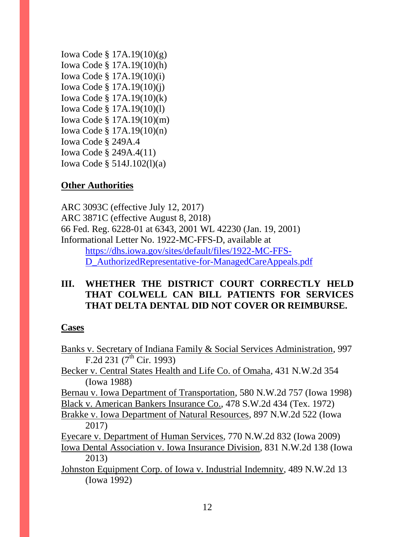Iowa Code § 17A.19(10)(g) Iowa Code § 17A.19(10)(h) Iowa Code § 17A.19(10)(i) Iowa Code § 17A.19(10)(j) Iowa Code § 17A.19(10)(k) Iowa Code § 17A.19(10)(l) Iowa Code § 17A.19(10)(m) Iowa Code § 17A.19(10)(n) Iowa Code § 249A.4 Iowa Code § 249A.4(11) Iowa Code § 514J.102(l)(a)

### **Other Authorities**

ARC 3093C (effective July 12, 2017) ARC 3871C (effective August 8, 2018) 66 Fed. Reg. 6228-01 at 6343, 2001 WL 42230 (Jan. 19, 2001) Informational Letter No. 1922-MC-FFS-D, available at [https://dhs.iowa.gov/sites/default/files/1922-MC-FFS-](https://dhs.iowa.gov/sites/default/files/1922-MC-FFS-D_AuthorizedRepresentative-for-ManagedCare)[D\\_AuthorizedRepresentative-for-ManagedCareA](https://dhs.iowa.gov/sites/default/files/1922-MC-FFS-D_AuthorizedRepresentative-for-ManagedCare)ppeals.pdf

### **III. WHETHER THE DISTRICT COURT CORRECTLY HELD THAT COLWELL CAN BILL PATIENTS FOR SERVICES THAT DELTA DENTAL DID NOT COVER OR REIMBURSE.**

#### **Cases**

| Banks v. Secretary of Indiana Family & Social Services Administration, 997 |
|----------------------------------------------------------------------------|
| F.2d 231 $(7th$ Cir. 1993)                                                 |
| Becker v. Central States Health and Life Co. of Omaha, 431 N.W.2d 354      |
| (Iowa 1988)                                                                |
| Bernau v. Iowa Department of Transportation, 580 N.W.2d 757 (Iowa 1998)    |
| Black v. American Bankers Insurance Co., 478 S.W.2d 434 (Tex. 1972)        |
| Brakke v. Iowa Department of Natural Resources, 897 N.W.2d 522 (Iowa       |
| 2017)                                                                      |
| Eyecare v. Department of Human Services, 770 N.W.2d 832 (Iowa 2009)        |
| Iowa Dental Association v. Iowa Insurance Division, 831 N.W.2d 138 (Iowa   |
| 2013)                                                                      |
| Johnston Equipment Corp. of Iowa v. Industrial Indemnity, 489 N.W.2d 13    |
| (Iowa 1992)                                                                |
|                                                                            |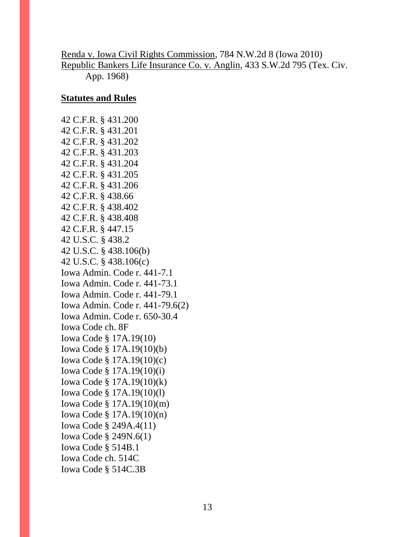### Renda v. Iowa Civil Rights Commission, 784 N.W.2d 8 (Iowa 2010) Republic Bankers Life Insurance Co. v. Anglin, 433 S.W.2d 795 (Tex. Civ. App. 1968)

### **Statutes and Rules**

42 C.F.R. § 431.200 42 C.F.R. § 431.201 42 C.F.R. § 431.202 42 C.F.R. § 431.203 42 C.F.R. § 431.204 42 C.F.R. § 431.205 42 C.F.R. § 431.206 42 C.F.R. § 438.66 42 C.F.R. § 438.402 42 C.F.R. § 438.408 42 C.F.R. § 447.15 42 U.S.C. § 438.2 42 U.S.C. § 438.106(b) 42 U.S.C. § 438.106(c) Iowa Admin. Code r. 441-7.1 Iowa Admin. Code r. 441-73.1 Iowa Admin. Code r. 441-79.1 Iowa Admin. Code r. 441-79.6(2) Iowa Admin. Code r. 650-30.4 Iowa Code ch. 8F Iowa Code § 17A.19(10) Iowa Code § 17A.19(10)(b) Iowa Code § 17A.19(10)(c) Iowa Code § 17A.19(10)(i) Iowa Code § 17A.19(10)(k) Iowa Code § 17A.19(10)(l) Iowa Code § 17A.19(10)(m) Iowa Code § 17A.19(10)(n) Iowa Code § 249A.4(11) Iowa Code § 249N.6(1) Iowa Code § 514B.1 Iowa Code ch. 514C Iowa Code § 514C.3B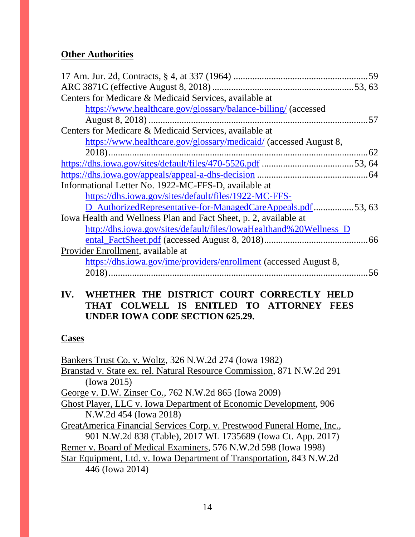### **Other Authorities**

| Centers for Medicare & Medicaid Services, available at             |  |
|--------------------------------------------------------------------|--|
| https://www.healthcare.gov/glossary/balance-billing/ (accessed     |  |
|                                                                    |  |
| Centers for Medicare & Medicaid Services, available at             |  |
| https://www.healthcare.gov/glossary/medicaid/ (accessed August 8,  |  |
|                                                                    |  |
|                                                                    |  |
|                                                                    |  |
| Informational Letter No. 1922-MC-FFS-D, available at               |  |
| https://dhs.iowa.gov/sites/default/files/1922-MC-FFS-              |  |
| D_AuthorizedRepresentative-for-ManagedCareAppeals.pdf53,63         |  |
| Iowa Health and Wellness Plan and Fact Sheet, p. 2, available at   |  |
| http://dhs.iowa.gov/sites/default/files/IowaHealthand%20Wellness_D |  |
|                                                                    |  |
| Provider Enrollment, available at                                  |  |
| https://dhs.iowa.gov/ime/providers/enrollment (accessed August 8,  |  |
|                                                                    |  |

#### **IV. WHETHER THE DISTRICT COURT CORRECTLY HELD THAT COLWELL IS ENITLED TO ATTORNEY FEES UNDER IOWA CODE SECTION 625.29.**

#### **Cases**

Bankers Trust Co. v. Woltz, 326 N.W.2d 274 (Iowa 1982) Branstad v. State ex. rel. Natural Resource Commission, 871 N.W.2d 291 (Iowa 2015) George v. D.W. Zinser Co., 762 N.W.2d 865 (Iowa 2009) Ghost Player, LLC v. Iowa Department of Economic Development, 906 N.W.2d 454 (Iowa 2018) GreatAmerica Financial Services Corp. v. Prestwood Funeral Home, Inc., 901 N.W.2d 838 (Table), 2017 WL 1735689 (Iowa Ct. App. 2017) Remer v. Board of Medical Examiners, 576 N.W.2d 598 (Iowa 1998) Star Equipment, Ltd. v. Iowa Department of Transportation, 843 N.W.2d 446 (Iowa 2014)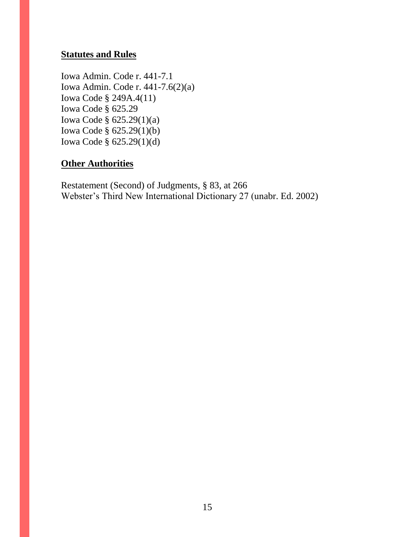### **Statutes and Rules**

Iowa Admin. Code r. 441-7.1 Iowa Admin. Code r. 441-7.6(2)(a) Iowa Code § 249A.4(11) Iowa Code § 625.29 Iowa Code § 625.29(1)(a) Iowa Code § 625.29(1)(b) Iowa Code § 625.29(1)(d)

### **Other Authorities**

Restatement (Second) of Judgments, § 83, at 266 Webster's Third New International Dictionary 27 (unabr. Ed. 2002)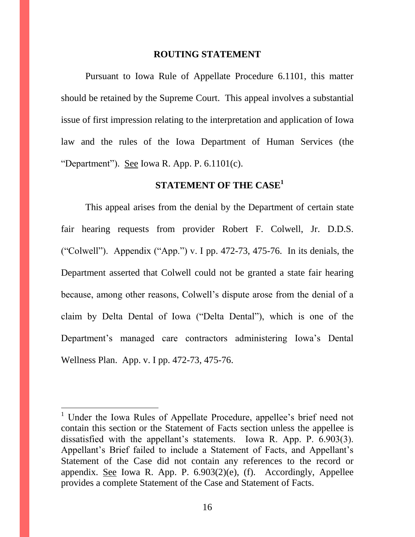#### **ROUTING STATEMENT**

Pursuant to Iowa Rule of Appellate Procedure 6.1101, this matter should be retained by the Supreme Court. This appeal involves a substantial issue of first impression relating to the interpretation and application of Iowa law and the rules of the Iowa Department of Human Services (the "Department"). See Iowa R. App. P.  $6.1101(c)$ .

### **STATEMENT OF THE CASE<sup>1</sup>**

This appeal arises from the denial by the Department of certain state fair hearing requests from provider Robert F. Colwell, Jr. D.D.S. ("Colwell"). Appendix ("App.") v. I pp. 472-73, 475-76. In its denials, the Department asserted that Colwell could not be granted a state fair hearing because, among other reasons, Colwell's dispute arose from the denial of a claim by Delta Dental of Iowa ("Delta Dental"), which is one of the Department's managed care contractors administering Iowa's Dental Wellness Plan. App. v. I pp. 472-73, 475-76.

 $\overline{a}$ 

<sup>&</sup>lt;sup>1</sup> Under the Iowa Rules of Appellate Procedure, appellee's brief need not contain this section or the Statement of Facts section unless the appellee is dissatisfied with the appellant's statements. Iowa R. App. P. 6.903(3). Appellant's Brief failed to include a Statement of Facts, and Appellant's Statement of the Case did not contain any references to the record or appendix. See Iowa R. App. P. 6.903(2)(e), (f). Accordingly, Appellee provides a complete Statement of the Case and Statement of Facts.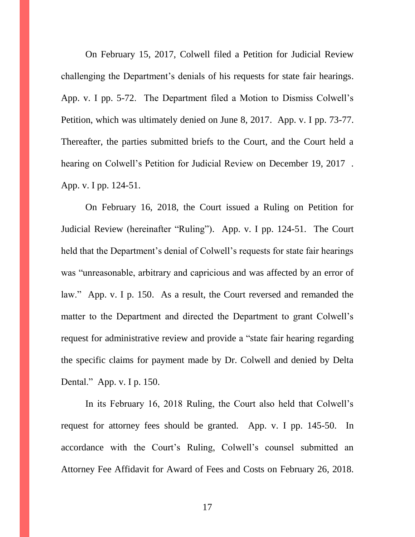On February 15, 2017, Colwell filed a Petition for Judicial Review challenging the Department's denials of his requests for state fair hearings. App. v. I pp. 5-72. The Department filed a Motion to Dismiss Colwell's Petition, which was ultimately denied on June 8, 2017. App. v. I pp. 73-77. Thereafter, the parties submitted briefs to the Court, and the Court held a hearing on Colwell's Petition for Judicial Review on December 19, 2017 . App. v. I pp. 124-51.

On February 16, 2018, the Court issued a Ruling on Petition for Judicial Review (hereinafter "Ruling"). App. v. I pp. 124-51. The Court held that the Department's denial of Colwell's requests for state fair hearings was "unreasonable, arbitrary and capricious and was affected by an error of law." App. v. I p. 150. As a result, the Court reversed and remanded the matter to the Department and directed the Department to grant Colwell's request for administrative review and provide a "state fair hearing regarding the specific claims for payment made by Dr. Colwell and denied by Delta Dental." App. v. I p. 150.

In its February 16, 2018 Ruling, the Court also held that Colwell's request for attorney fees should be granted. App. v. I pp. 145-50. In accordance with the Court's Ruling, Colwell's counsel submitted an Attorney Fee Affidavit for Award of Fees and Costs on February 26, 2018.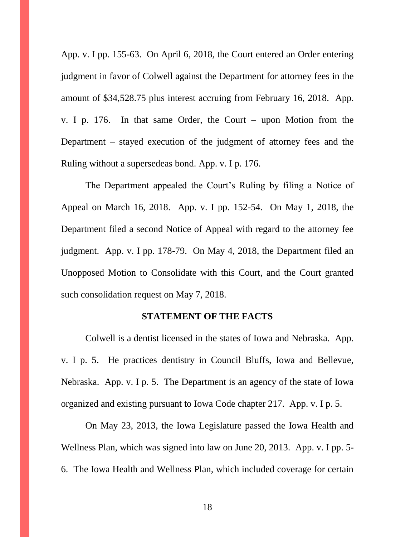App. v. I pp. 155-63. On April 6, 2018, the Court entered an Order entering judgment in favor of Colwell against the Department for attorney fees in the amount of \$34,528.75 plus interest accruing from February 16, 2018. App. v. I p. 176. In that same Order, the Court – upon Motion from the Department – stayed execution of the judgment of attorney fees and the Ruling without a supersedeas bond. App. v. I p. 176.

The Department appealed the Court's Ruling by filing a Notice of Appeal on March 16, 2018. App. v. I pp. 152-54. On May 1, 2018, the Department filed a second Notice of Appeal with regard to the attorney fee judgment. App. v. I pp. 178-79. On May 4, 2018, the Department filed an Unopposed Motion to Consolidate with this Court, and the Court granted such consolidation request on May 7, 2018.

#### **STATEMENT OF THE FACTS**

Colwell is a dentist licensed in the states of Iowa and Nebraska. App. v. I p. 5. He practices dentistry in Council Bluffs, Iowa and Bellevue, Nebraska. App. v. I p. 5. The Department is an agency of the state of Iowa organized and existing pursuant to Iowa Code chapter 217. App. v. I p. 5.

On May 23, 2013, the Iowa Legislature passed the Iowa Health and Wellness Plan, which was signed into law on June 20, 2013. App. v. I pp. 5- 6. The Iowa Health and Wellness Plan, which included coverage for certain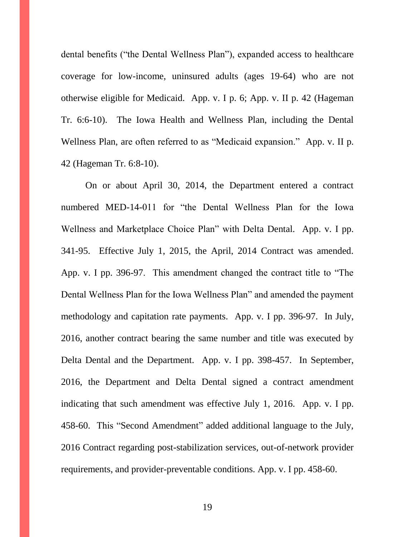dental benefits ("the Dental Wellness Plan"), expanded access to healthcare coverage for low-income, uninsured adults (ages 19-64) who are not otherwise eligible for Medicaid. App. v. I p. 6; App. v. II p. 42 (Hageman Tr. 6:6-10). The Iowa Health and Wellness Plan, including the Dental Wellness Plan, are often referred to as "Medicaid expansion." App. v. II p. 42 (Hageman Tr. 6:8-10).

On or about April 30, 2014, the Department entered a contract numbered MED-14-011 for "the Dental Wellness Plan for the Iowa Wellness and Marketplace Choice Plan" with Delta Dental. App. v. I pp. 341-95. Effective July 1, 2015, the April, 2014 Contract was amended. App. v. I pp. 396-97. This amendment changed the contract title to "The Dental Wellness Plan for the Iowa Wellness Plan" and amended the payment methodology and capitation rate payments. App. v. I pp. 396-97. In July, 2016, another contract bearing the same number and title was executed by Delta Dental and the Department. App. v. I pp. 398-457. In September, 2016, the Department and Delta Dental signed a contract amendment indicating that such amendment was effective July 1, 2016. App. v. I pp. 458-60. This "Second Amendment" added additional language to the July, 2016 Contract regarding post-stabilization services, out-of-network provider requirements, and provider-preventable conditions. App. v. I pp. 458-60.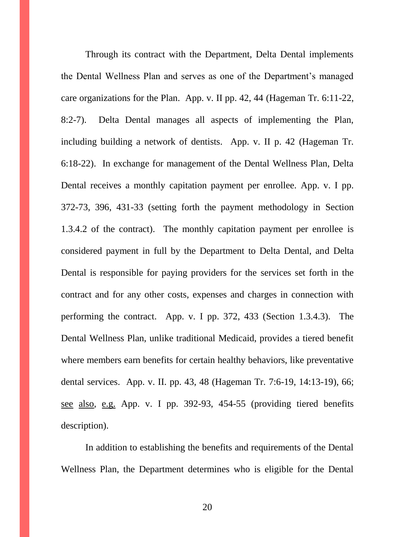Through its contract with the Department, Delta Dental implements the Dental Wellness Plan and serves as one of the Department's managed care organizations for the Plan. App. v. II pp. 42, 44 (Hageman Tr. 6:11-22, 8:2-7). Delta Dental manages all aspects of implementing the Plan, including building a network of dentists. App. v. II p. 42 (Hageman Tr. 6:18-22). In exchange for management of the Dental Wellness Plan, Delta Dental receives a monthly capitation payment per enrollee. App. v. I pp. 372-73, 396, 431-33 (setting forth the payment methodology in Section 1.3.4.2 of the contract). The monthly capitation payment per enrollee is considered payment in full by the Department to Delta Dental, and Delta Dental is responsible for paying providers for the services set forth in the contract and for any other costs, expenses and charges in connection with performing the contract. App. v. I pp. 372, 433 (Section 1.3.4.3). The Dental Wellness Plan, unlike traditional Medicaid, provides a tiered benefit where members earn benefits for certain healthy behaviors, like preventative dental services. App. v. II. pp. 43, 48 (Hageman Tr. 7:6-19, 14:13-19), 66; see also, e.g. App. v. I pp. 392-93, 454-55 (providing tiered benefits description).

In addition to establishing the benefits and requirements of the Dental Wellness Plan, the Department determines who is eligible for the Dental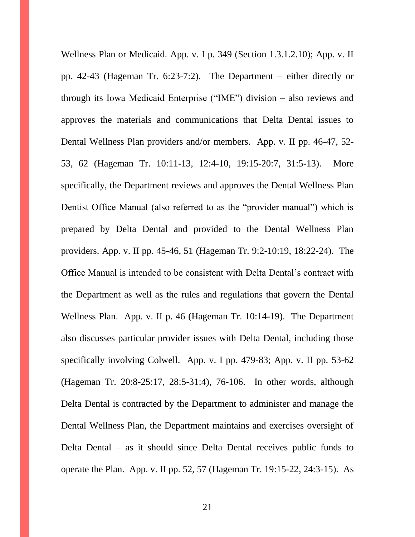Wellness Plan or Medicaid. App. v. I p. 349 (Section 1.3.1.2.10); App. v. II pp. 42-43 (Hageman Tr. 6:23-7:2). The Department – either directly or through its Iowa Medicaid Enterprise ("IME") division – also reviews and approves the materials and communications that Delta Dental issues to Dental Wellness Plan providers and/or members. App. v. II pp. 46-47, 52- 53, 62 (Hageman Tr. 10:11-13, 12:4-10, 19:15-20:7, 31:5-13). More specifically, the Department reviews and approves the Dental Wellness Plan Dentist Office Manual (also referred to as the "provider manual") which is prepared by Delta Dental and provided to the Dental Wellness Plan providers. App. v. II pp. 45-46, 51 (Hageman Tr. 9:2-10:19, 18:22-24). The Office Manual is intended to be consistent with Delta Dental's contract with the Department as well as the rules and regulations that govern the Dental Wellness Plan. App. v. II p. 46 (Hageman Tr. 10:14-19). The Department also discusses particular provider issues with Delta Dental, including those specifically involving Colwell. App. v. I pp. 479-83; App. v. II pp. 53-62 (Hageman Tr. 20:8-25:17, 28:5-31:4), 76-106. In other words, although Delta Dental is contracted by the Department to administer and manage the Dental Wellness Plan, the Department maintains and exercises oversight of Delta Dental – as it should since Delta Dental receives public funds to operate the Plan. App. v. II pp. 52, 57 (Hageman Tr. 19:15-22, 24:3-15). As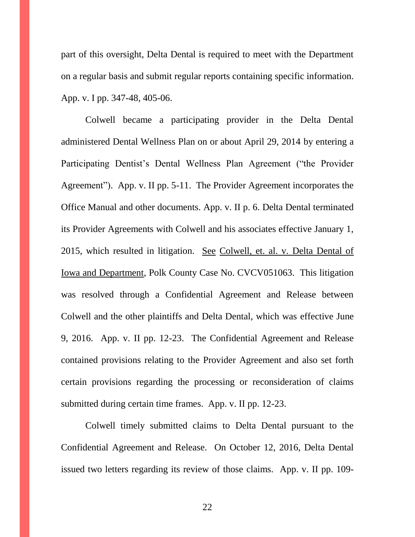part of this oversight, Delta Dental is required to meet with the Department on a regular basis and submit regular reports containing specific information. App. v. I pp. 347-48, 405-06.

Colwell became a participating provider in the Delta Dental administered Dental Wellness Plan on or about April 29, 2014 by entering a Participating Dentist's Dental Wellness Plan Agreement ("the Provider Agreement"). App. v. II pp. 5-11. The Provider Agreement incorporates the Office Manual and other documents. App. v. II p. 6. Delta Dental terminated its Provider Agreements with Colwell and his associates effective January 1, 2015, which resulted in litigation. See Colwell, et. al. v. Delta Dental of Iowa and Department, Polk County Case No. CVCV051063. This litigation was resolved through a Confidential Agreement and Release between Colwell and the other plaintiffs and Delta Dental, which was effective June 9, 2016. App. v. II pp. 12-23. The Confidential Agreement and Release contained provisions relating to the Provider Agreement and also set forth certain provisions regarding the processing or reconsideration of claims submitted during certain time frames. App. v. II pp. 12-23.

Colwell timely submitted claims to Delta Dental pursuant to the Confidential Agreement and Release. On October 12, 2016, Delta Dental issued two letters regarding its review of those claims. App. v. II pp. 109-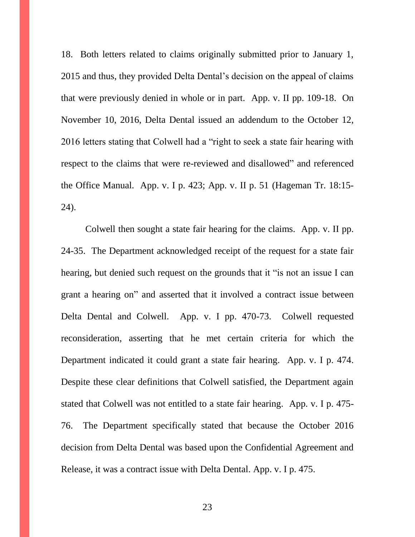18. Both letters related to claims originally submitted prior to January 1, 2015 and thus, they provided Delta Dental's decision on the appeal of claims that were previously denied in whole or in part. App. v. II pp. 109-18. On November 10, 2016, Delta Dental issued an addendum to the October 12, 2016 letters stating that Colwell had a "right to seek a state fair hearing with respect to the claims that were re-reviewed and disallowed" and referenced the Office Manual. App. v. I p. 423; App. v. II p. 51 (Hageman Tr. 18:15- 24).

Colwell then sought a state fair hearing for the claims. App. v. II pp. 24-35. The Department acknowledged receipt of the request for a state fair hearing, but denied such request on the grounds that it "is not an issue I can grant a hearing on" and asserted that it involved a contract issue between Delta Dental and Colwell. App. v. I pp. 470-73. Colwell requested reconsideration, asserting that he met certain criteria for which the Department indicated it could grant a state fair hearing. App. v. I p. 474. Despite these clear definitions that Colwell satisfied, the Department again stated that Colwell was not entitled to a state fair hearing. App. v. I p. 475- 76. The Department specifically stated that because the October 2016 decision from Delta Dental was based upon the Confidential Agreement and Release, it was a contract issue with Delta Dental. App. v. I p. 475.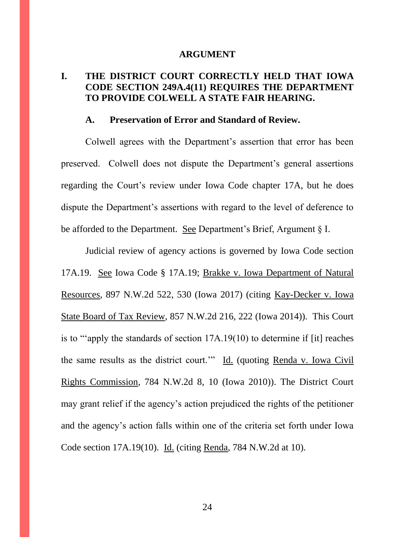#### **ARGUMENT**

#### **I. THE DISTRICT COURT CORRECTLY HELD THAT IOWA CODE SECTION 249A.4(11) REQUIRES THE DEPARTMENT TO PROVIDE COLWELL A STATE FAIR HEARING.**

#### **A. Preservation of Error and Standard of Review.**

Colwell agrees with the Department's assertion that error has been preserved. Colwell does not dispute the Department's general assertions regarding the Court's review under Iowa Code chapter 17A, but he does dispute the Department's assertions with regard to the level of deference to be afforded to the Department. See Department's Brief, Argument § I.

Judicial review of agency actions is governed by Iowa Code section 17A.19. See Iowa Code § 17A.19; Brakke v. Iowa Department of Natural Resources, 897 N.W.2d 522, 530 (Iowa 2017) (citing Kay-Decker v. Iowa State Board of Tax Review, 857 N.W.2d 216, 222 (Iowa 2014)). This Court is to "'apply the standards of section 17A.19(10) to determine if [it] reaches the same results as the district court.'" Id. (quoting Renda v. Iowa Civil Rights Commission, 784 N.W.2d 8, 10 (Iowa 2010)). The District Court may grant relief if the agency's action prejudiced the rights of the petitioner and the agency's action falls within one of the criteria set forth under Iowa Code section 17A.19(10). Id. (citing Renda, 784 N.W.2d at 10).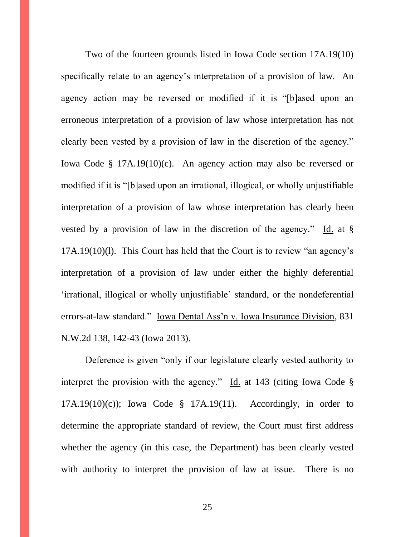Two of the fourteen grounds listed in Iowa Code section 17A.19(10) specifically relate to an agency's interpretation of a provision of law. An agency action may be reversed or modified if it is "[b]ased upon an erroneous interpretation of a provision of law whose interpretation has not clearly been vested by a provision of law in the discretion of the agency." Iowa Code § 17A.19(10)(c). An agency action may also be reversed or modified if it is "[b]ased upon an irrational, illogical, or wholly unjustifiable interpretation of a provision of law whose interpretation has clearly been vested by a provision of law in the discretion of the agency." Id. at § 17A.19(10)(l). This Court has held that the Court is to review "an agency's interpretation of a provision of law under either the highly deferential 'irrational, illogical or wholly unjustifiable' standard, or the nondeferential errors-at-law standard." Iowa Dental Ass'n v. Iowa Insurance Division, 831 N.W.2d 138, 142-43 (Iowa 2013).

Deference is given "only if our legislature clearly vested authority to interpret the provision with the agency." Id. at 143 (citing Iowa Code § 17A.19(10)(c)); Iowa Code § 17A.19(11).Accordingly, in order to determine the appropriate standard of review, the Court must first address whether the agency (in this case, the Department) has been clearly vested with authority to interpret the provision of law at issue. There is no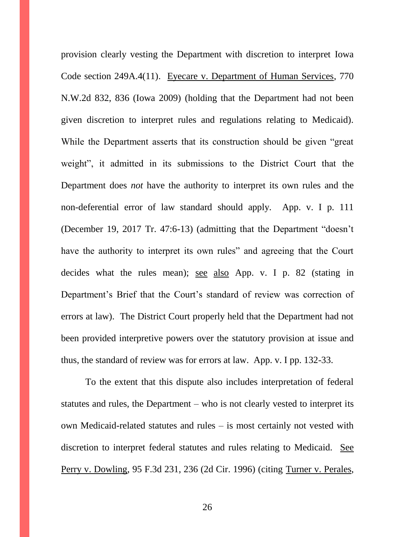provision clearly vesting the Department with discretion to interpret Iowa Code section 249A.4(11). Eyecare v. Department of Human Services, 770 N.W.2d 832, 836 (Iowa 2009) (holding that the Department had not been given discretion to interpret rules and regulations relating to Medicaid). While the Department asserts that its construction should be given "great weight", it admitted in its submissions to the District Court that the Department does *not* have the authority to interpret its own rules and the non-deferential error of law standard should apply. App. v. I p. 111 (December 19, 2017 Tr. 47:6-13) (admitting that the Department "doesn't have the authority to interpret its own rules" and agreeing that the Court decides what the rules mean); see also App. v. I p. 82 (stating in Department's Brief that the Court's standard of review was correction of errors at law). The District Court properly held that the Department had not been provided interpretive powers over the statutory provision at issue and thus, the standard of review was for errors at law. App. v. I pp. 132-33.

To the extent that this dispute also includes interpretation of federal statutes and rules, the Department – who is not clearly vested to interpret its own Medicaid-related statutes and rules – is most certainly not vested with discretion to interpret federal statutes and rules relating to Medicaid. See Perry v. Dowling, 95 F.3d 231, 236 (2d Cir. 1996) (citing Turner v. Perales,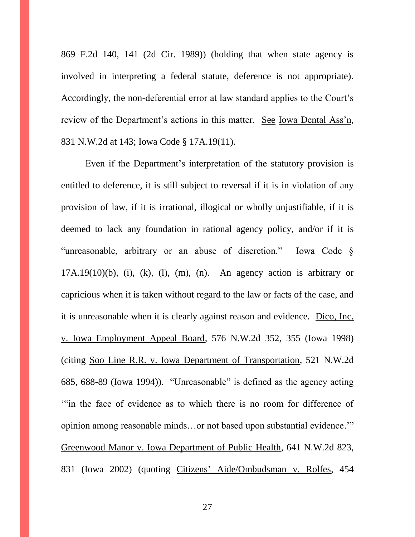869 F.2d 140, 141 (2d Cir. 1989)) (holding that when state agency is involved in interpreting a federal statute, deference is not appropriate). Accordingly, the non-deferential error at law standard applies to the Court's review of the Department's actions in this matter. See Iowa Dental Ass'n, 831 N.W.2d at 143; Iowa Code § 17A.19(11).

Even if the Department's interpretation of the statutory provision is entitled to deference, it is still subject to reversal if it is in violation of any provision of law, if it is irrational, illogical or wholly unjustifiable, if it is deemed to lack any foundation in rational agency policy, and/or if it is "unreasonable, arbitrary or an abuse of discretion." Iowa Code §  $17A.19(10)(b)$ , (i), (k), (l), (m), (n). An agency action is arbitrary or capricious when it is taken without regard to the law or facts of the case, and it is unreasonable when it is clearly against reason and evidence. Dico, Inc. v. Iowa Employment Appeal Board, 576 N.W.2d 352, 355 (Iowa 1998) (citing Soo Line R.R. v. Iowa Department of Transportation, 521 N.W.2d 685, 688-89 (Iowa 1994)). "Unreasonable" is defined as the agency acting '"in the face of evidence as to which there is no room for difference of opinion among reasonable minds…or not based upon substantial evidence.'" Greenwood Manor v. Iowa Department of Public Health, 641 N.W.2d 823, 831 (Iowa 2002) (quoting Citizens' Aide/Ombudsman v. Rolfes, 454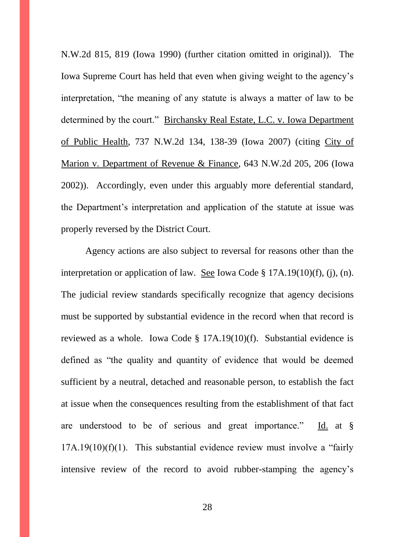N.W.2d 815, 819 (Iowa 1990) (further citation omitted in original)). The Iowa Supreme Court has held that even when giving weight to the agency's interpretation, "the meaning of any statute is always a matter of law to be determined by the court." Birchansky Real Estate, L.C. v. Iowa Department of Public Health, 737 N.W.2d 134, 138-39 (Iowa 2007) (citing City of Marion v. Department of Revenue & Finance, 643 N.W.2d 205, 206 (Iowa 2002)). Accordingly, even under this arguably more deferential standard, the Department's interpretation and application of the statute at issue was properly reversed by the District Court.

Agency actions are also subject to reversal for reasons other than the interpretation or application of law. See Iowa Code § 17A.19(10)(f), (j), (n). The judicial review standards specifically recognize that agency decisions must be supported by substantial evidence in the record when that record is reviewed as a whole. Iowa Code § 17A.19(10)(f). Substantial evidence is defined as "the quality and quantity of evidence that would be deemed sufficient by a neutral, detached and reasonable person, to establish the fact at issue when the consequences resulting from the establishment of that fact are understood to be of serious and great importance." Id. at §  $17A.19(10)(f)(1)$ . This substantial evidence review must involve a "fairly" intensive review of the record to avoid rubber-stamping the agency's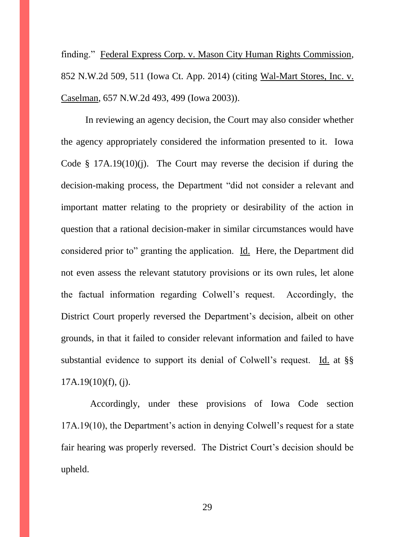finding." Federal Express Corp. v. Mason City Human Rights Commission, 852 N.W.2d 509, 511 (Iowa Ct. App. 2014) (citing Wal-Mart Stores, Inc. v. Caselman, 657 N.W.2d 493, 499 (Iowa 2003)).

In reviewing an agency decision, the Court may also consider whether the agency appropriately considered the information presented to it. Iowa Code  $\S$  17A.19(10)(j). The Court may reverse the decision if during the decision-making process, the Department "did not consider a relevant and important matter relating to the propriety or desirability of the action in question that a rational decision-maker in similar circumstances would have considered prior to" granting the application. Id. Here, the Department did not even assess the relevant statutory provisions or its own rules, let alone the factual information regarding Colwell's request. Accordingly, the District Court properly reversed the Department's decision, albeit on other grounds, in that it failed to consider relevant information and failed to have substantial evidence to support its denial of Colwell's request. Id. at §§  $17A.19(10)(f), (i).$ 

 Accordingly, under these provisions of Iowa Code section 17A.19(10), the Department's action in denying Colwell's request for a state fair hearing was properly reversed. The District Court's decision should be upheld.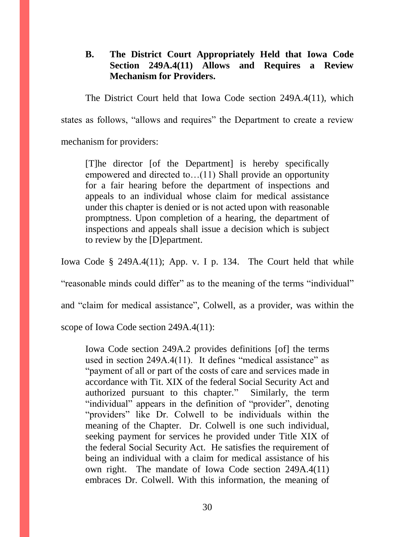#### **B. The District Court Appropriately Held that Iowa Code Section 249A.4(11) Allows and Requires a Review Mechanism for Providers.**

The District Court held that Iowa Code section 249A.4(11), which states as follows, "allows and requires" the Department to create a review mechanism for providers:

[T]he director [of the Department] is hereby specifically empowered and directed to…(11) Shall provide an opportunity for a fair hearing before the department of inspections and appeals to an individual whose claim for medical assistance under this chapter is denied or is not acted upon with reasonable promptness. Upon completion of a hearing, the department of inspections and appeals shall issue a decision which is subject to review by the [D]epartment.

Iowa Code § 249A.4(11); App. v. I p. 134. The Court held that while

"reasonable minds could differ" as to the meaning of the terms "individual"

and "claim for medical assistance", Colwell, as a provider, was within the

scope of Iowa Code section 249A.4(11):

Iowa Code section 249A.2 provides definitions [of] the terms used in section 249A.4(11). It defines "medical assistance" as "payment of all or part of the costs of care and services made in accordance with Tit. XIX of the federal Social Security Act and authorized pursuant to this chapter." Similarly, the term "individual" appears in the definition of "provider", denoting "providers" like Dr. Colwell to be individuals within the meaning of the Chapter. Dr. Colwell is one such individual, seeking payment for services he provided under Title XIX of the federal Social Security Act. He satisfies the requirement of being an individual with a claim for medical assistance of his own right. The mandate of Iowa Code section 249A.4(11) embraces Dr. Colwell. With this information, the meaning of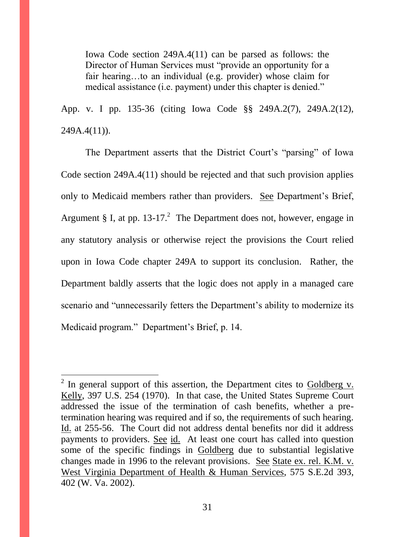Iowa Code section 249A.4(11) can be parsed as follows: the Director of Human Services must "provide an opportunity for a fair hearing…to an individual (e.g. provider) whose claim for medical assistance (i.e. payment) under this chapter is denied."

App. v. I pp. 135-36 (citing Iowa Code §§ 249A.2(7), 249A.2(12),  $249A.4(11)$ .

The Department asserts that the District Court's "parsing" of Iowa Code section 249A.4(11) should be rejected and that such provision applies only to Medicaid members rather than providers. See Department's Brief, Argument § I, at pp. 13-17.<sup>2</sup> The Department does not, however, engage in any statutory analysis or otherwise reject the provisions the Court relied upon in Iowa Code chapter 249A to support its conclusion. Rather, the Department baldly asserts that the logic does not apply in a managed care scenario and "unnecessarily fetters the Department's ability to modernize its Medicaid program." Department's Brief, p. 14.

 $\overline{a}$ 

<sup>&</sup>lt;sup>2</sup> In general support of this assertion, the Department cites to  $Goldberg$  v. Kelly, 397 U.S. 254 (1970). In that case, the United States Supreme Court addressed the issue of the termination of cash benefits, whether a pretermination hearing was required and if so, the requirements of such hearing. Id. at 255-56. The Court did not address dental benefits nor did it address payments to providers. See id. At least one court has called into question some of the specific findings in Goldberg due to substantial legislative changes made in 1996 to the relevant provisions. See State ex. rel. K.M. v. West Virginia Department of Health & Human Services, 575 S.E.2d 393, 402 (W. Va. 2002).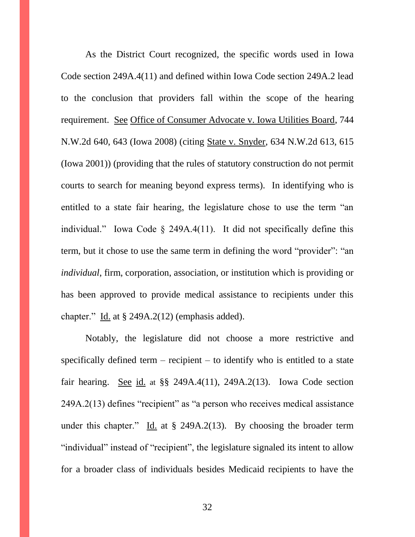As the District Court recognized, the specific words used in Iowa Code section 249A.4(11) and defined within Iowa Code section 249A.2 lead to the conclusion that providers fall within the scope of the hearing requirement. See Office of Consumer Advocate v. Iowa Utilities Board, 744 N.W.2d 640, 643 (Iowa 2008) (citing State v. Snyder, 634 N.W.2d 613, 615 (Iowa 2001)) (providing that the rules of statutory construction do not permit courts to search for meaning beyond express terms). In identifying who is entitled to a state fair hearing, the legislature chose to use the term "an individual." Iowa Code § 249A.4(11). It did not specifically define this term, but it chose to use the same term in defining the word "provider": "an *individual*, firm, corporation, association, or institution which is providing or has been approved to provide medical assistance to recipients under this chapter." Id. at § 249A.2(12) (emphasis added).

Notably, the legislature did not choose a more restrictive and specifically defined term  $-$  recipient  $-$  to identify who is entitled to a state fair hearing. See id. at §§ 249A.4(11), 249A.2(13). Iowa Code section 249A.2(13) defines "recipient" as "a person who receives medical assistance under this chapter." Id. at  $\S$  249A.2(13). By choosing the broader term "individual" instead of "recipient", the legislature signaled its intent to allow for a broader class of individuals besides Medicaid recipients to have the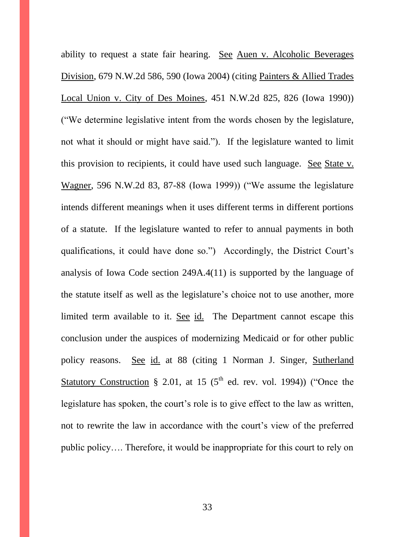ability to request a state fair hearing. See Auen v. Alcoholic Beverages Division, 679 N.W.2d 586, 590 (Iowa 2004) (citing Painters & Allied Trades Local Union v. City of Des Moines, 451 N.W.2d 825, 826 (Iowa 1990)) ("We determine legislative intent from the words chosen by the legislature, not what it should or might have said."). If the legislature wanted to limit this provision to recipients, it could have used such language. See State v. Wagner, 596 N.W.2d 83, 87-88 (Iowa 1999)) ("We assume the legislature intends different meanings when it uses different terms in different portions of a statute. If the legislature wanted to refer to annual payments in both qualifications, it could have done so.") Accordingly, the District Court's analysis of Iowa Code section 249A.4(11) is supported by the language of the statute itself as well as the legislature's choice not to use another, more limited term available to it. See id. The Department cannot escape this conclusion under the auspices of modernizing Medicaid or for other public policy reasons. See id. at 88 (citing 1 Norman J. Singer, Sutherland Statutory Construction § 2.01, at 15 ( $5<sup>th</sup>$  ed. rev. vol. 1994)) ("Once the legislature has spoken, the court's role is to give effect to the law as written, not to rewrite the law in accordance with the court's view of the preferred public policy…. Therefore, it would be inappropriate for this court to rely on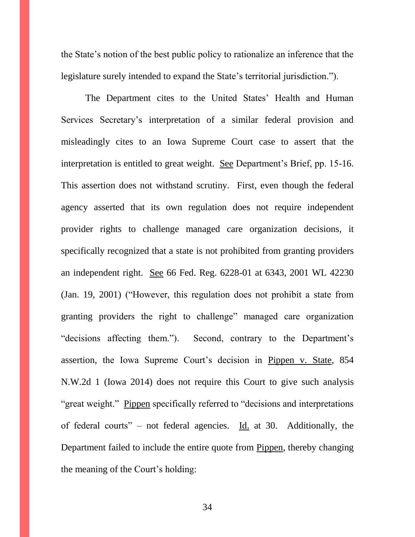the State's notion of the best public policy to rationalize an inference that the legislature surely intended to expand the State's territorial jurisdiction.").

The Department cites to the United States' Health and Human Services Secretary's interpretation of a similar federal provision and misleadingly cites to an Iowa Supreme Court case to assert that the interpretation is entitled to great weight. See Department's Brief, pp. 15-16. This assertion does not withstand scrutiny. First, even though the federal agency asserted that its own regulation does not require independent provider rights to challenge managed care organization decisions, it specifically recognized that a state is not prohibited from granting providers an independent right. See 66 Fed. Reg. 6228-01 at 6343, 2001 WL 42230 (Jan. 19, 2001) ("However, this regulation does not prohibit a state from granting providers the right to challenge" managed care organization "decisions affecting them."). Second, contrary to the Department's assertion, the Iowa Supreme Court's decision in Pippen v. State, 854 N.W.2d 1 (Iowa 2014) does not require this Court to give such analysis "great weight." Pippen specifically referred to "decisions and interpretations of federal courts" – not federal agencies. Id. at 30. Additionally, the Department failed to include the entire quote from Pippen, thereby changing the meaning of the Court's holding: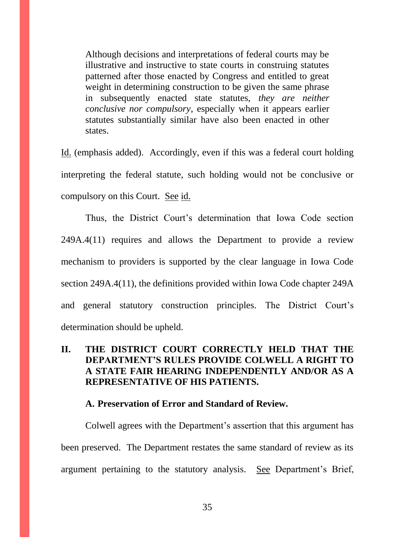Although decisions and interpretations of federal courts may be illustrative and instructive to state courts in construing statutes patterned after those enacted by Congress and entitled to great weight in determining construction to be given the same phrase in subsequently enacted state statutes, *they are neither conclusive nor compulsory*, especially when it appears earlier statutes substantially similar have also been enacted in other states.

Id. (emphasis added). Accordingly, even if this was a federal court holding interpreting the federal statute, such holding would not be conclusive or compulsory on this Court. See id.

Thus, the District Court's determination that Iowa Code section 249A.4(11) requires and allows the Department to provide a review mechanism to providers is supported by the clear language in Iowa Code section 249A.4(11), the definitions provided within Iowa Code chapter 249A and general statutory construction principles. The District Court's determination should be upheld.

#### **II. THE DISTRICT COURT CORRECTLY HELD THAT THE DEPARTMENT'S RULES PROVIDE COLWELL A RIGHT TO A STATE FAIR HEARING INDEPENDENTLY AND/OR AS A REPRESENTATIVE OF HIS PATIENTS.**

#### **A. Preservation of Error and Standard of Review.**

Colwell agrees with the Department's assertion that this argument has been preserved. The Department restates the same standard of review as its argument pertaining to the statutory analysis. See Department's Brief,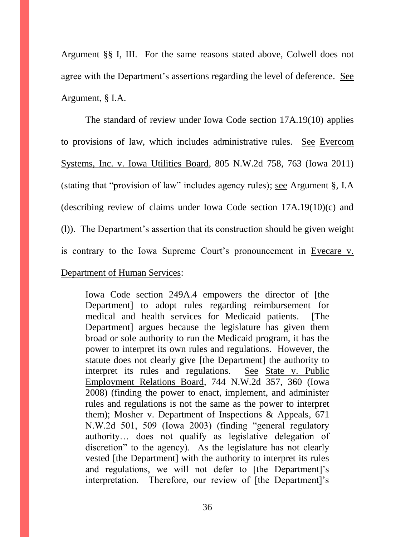Argument §§ I, III. For the same reasons stated above, Colwell does not agree with the Department's assertions regarding the level of deference. See Argument, § I.A.

The standard of review under Iowa Code section 17A.19(10) applies to provisions of law, which includes administrative rules. See Evercom Systems, Inc. v. Iowa Utilities Board, 805 N.W.2d 758, 763 (Iowa 2011) (stating that "provision of law" includes agency rules); see Argument §, I.A (describing review of claims under Iowa Code section 17A.19(10)(c) and (l)). The Department's assertion that its construction should be given weight is contrary to the Iowa Supreme Court's pronouncement in Eyecare v. Department of Human Services:

Iowa Code section 249A.4 empowers the director of [the Department] to adopt rules regarding reimbursement for medical and health services for Medicaid patients. [The Department] argues because the legislature has given them broad or sole authority to run the Medicaid program, it has the power to interpret its own rules and regulations. However, the statute does not clearly give [the Department] the authority to interpret its rules and regulations. See State v. Public Employment Relations Board, 744 N.W.2d 357, 360 (Iowa 2008) (finding the power to enact, implement, and administer rules and regulations is not the same as the power to interpret them); Mosher v. Department of Inspections & Appeals, 671 N.W.2d 501, 509 (Iowa 2003) (finding "general regulatory authority… does not qualify as legislative delegation of discretion" to the agency). As the legislature has not clearly vested [the Department] with the authority to interpret its rules and regulations, we will not defer to [the Department]'s interpretation. Therefore, our review of [the Department]'s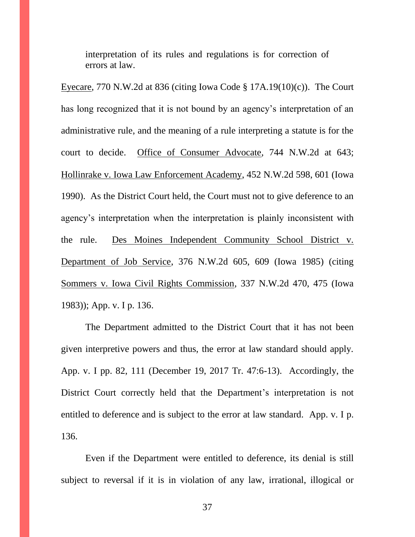interpretation of its rules and regulations is for correction of errors at law.

Eyecare, 770 N.W.2d at 836 (citing Iowa Code  $\S$  17A.19(10)(c)). The Court has long recognized that it is not bound by an agency's interpretation of an administrative rule, and the meaning of a rule interpreting a statute is for the court to decide. Office of Consumer Advocate, 744 N.W.2d at 643; Hollinrake v. Iowa Law Enforcement Academy, 452 N.W.2d 598, 601 (Iowa 1990). As the District Court held, the Court must not to give deference to an agency's interpretation when the interpretation is plainly inconsistent with the rule. Des Moines Independent Community School District v. Department of Job Service, 376 N.W.2d 605, 609 (Iowa 1985) (citing Sommers v. Iowa Civil Rights Commission, 337 N.W.2d 470, 475 (Iowa 1983)); App. v. I p. 136.

The Department admitted to the District Court that it has not been given interpretive powers and thus, the error at law standard should apply. App. v. I pp. 82, 111 (December 19, 2017 Tr. 47:6-13). Accordingly, the District Court correctly held that the Department's interpretation is not entitled to deference and is subject to the error at law standard. App. v. I p. 136.

Even if the Department were entitled to deference, its denial is still subject to reversal if it is in violation of any law, irrational, illogical or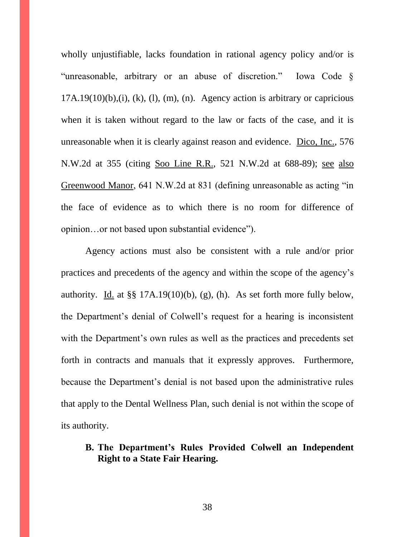wholly unjustifiable, lacks foundation in rational agency policy and/or is "unreasonable, arbitrary or an abuse of discretion." Iowa Code §  $17A.19(10)(b),(i), (k), (l), (m), (n)$ . Agency action is arbitrary or capricious when it is taken without regard to the law or facts of the case, and it is unreasonable when it is clearly against reason and evidence. Dico, Inc., 576 N.W.2d at 355 (citing Soo Line R.R., 521 N.W.2d at 688-89); see also Greenwood Manor, 641 N.W.2d at 831 (defining unreasonable as acting "in the face of evidence as to which there is no room for difference of opinion…or not based upon substantial evidence").

Agency actions must also be consistent with a rule and/or prior practices and precedents of the agency and within the scope of the agency's authority. Id. at  $\S$ § 17A.19(10)(b), (g), (h). As set forth more fully below, the Department's denial of Colwell's request for a hearing is inconsistent with the Department's own rules as well as the practices and precedents set forth in contracts and manuals that it expressly approves. Furthermore, because the Department's denial is not based upon the administrative rules that apply to the Dental Wellness Plan, such denial is not within the scope of its authority.

## **B. The Department's Rules Provided Colwell an Independent Right to a State Fair Hearing.**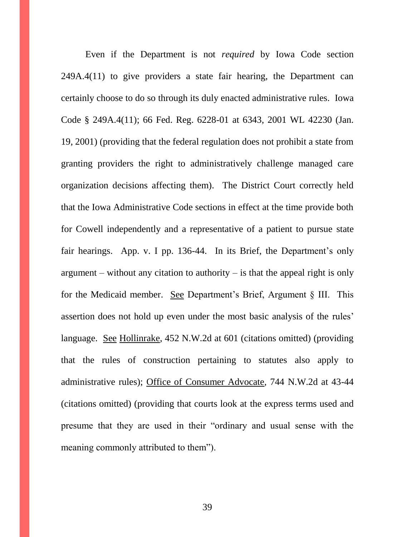Even if the Department is not *required* by Iowa Code section 249A.4(11) to give providers a state fair hearing, the Department can certainly choose to do so through its duly enacted administrative rules. Iowa Code § 249A.4(11); 66 Fed. Reg. 6228-01 at 6343, 2001 WL 42230 (Jan. 19, 2001) (providing that the federal regulation does not prohibit a state from granting providers the right to administratively challenge managed care organization decisions affecting them). The District Court correctly held that the Iowa Administrative Code sections in effect at the time provide both for Cowell independently and a representative of a patient to pursue state fair hearings. App. v. I pp. 136-44. In its Brief, the Department's only argument – without any citation to authority – is that the appeal right is only for the Medicaid member. See Department's Brief, Argument § III. This assertion does not hold up even under the most basic analysis of the rules' language. See Hollinrake, 452 N.W.2d at 601 (citations omitted) (providing that the rules of construction pertaining to statutes also apply to administrative rules); Office of Consumer Advocate, 744 N.W.2d at 43-44 (citations omitted) (providing that courts look at the express terms used and presume that they are used in their "ordinary and usual sense with the meaning commonly attributed to them").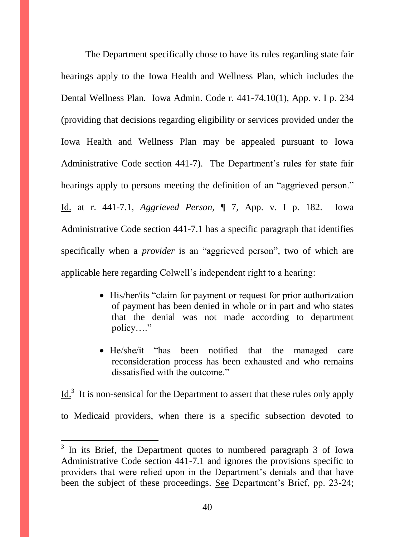The Department specifically chose to have its rules regarding state fair hearings apply to the Iowa Health and Wellness Plan, which includes the Dental Wellness Plan. Iowa Admin. Code r. 441-74.10(1), App. v. I p. 234 (providing that decisions regarding eligibility or services provided under the Iowa Health and Wellness Plan may be appealed pursuant to Iowa Administrative Code section 441-7). The Department's rules for state fair hearings apply to persons meeting the definition of an "aggrieved person." Id. at r. 441-7.1, *Aggrieved Person,* ¶ 7, App. v. I p. 182. Iowa Administrative Code section 441-7.1 has a specific paragraph that identifies specifically when a *provider* is an "aggrieved person", two of which are applicable here regarding Colwell's independent right to a hearing:

- His/her/its "claim for payment or request for prior authorization of payment has been denied in whole or in part and who states that the denial was not made according to department policy…."
- He/she/it "has been notified that the managed care reconsideration process has been exhausted and who remains dissatisfied with the outcome."

 $\underline{Id.}^3$  It is non-sensical for the Department to assert that these rules only apply to Medicaid providers, when there is a specific subsection devoted to

 $3$  In its Brief, the Department quotes to numbered paragraph 3 of Iowa Administrative Code section 441-7.1 and ignores the provisions specific to providers that were relied upon in the Department's denials and that have been the subject of these proceedings. See Department's Brief, pp. 23-24;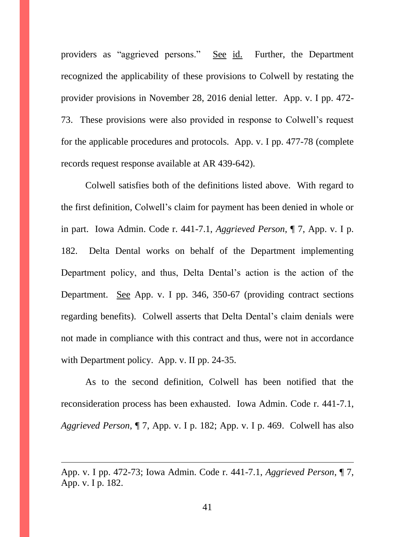providers as "aggrieved persons." See id. Further, the Department recognized the applicability of these provisions to Colwell by restating the provider provisions in November 28, 2016 denial letter. App. v. I pp. 472- 73. These provisions were also provided in response to Colwell's request for the applicable procedures and protocols. App. v. I pp. 477-78 (complete records request response available at AR 439-642).

Colwell satisfies both of the definitions listed above. With regard to the first definition, Colwell's claim for payment has been denied in whole or in part. Iowa Admin. Code r. 441-7.1, *Aggrieved Person*, ¶ 7, App. v. I p. 182. Delta Dental works on behalf of the Department implementing Department policy, and thus, Delta Dental's action is the action of the Department. See App. v. I pp. 346, 350-67 (providing contract sections regarding benefits). Colwell asserts that Delta Dental's claim denials were not made in compliance with this contract and thus, were not in accordance with Department policy. App. v. II pp. 24-35.

As to the second definition, Colwell has been notified that the reconsideration process has been exhausted. Iowa Admin. Code r. 441-7.1, *Aggrieved Person*, ¶ 7, App. v. I p. 182; App. v. I p. 469. Colwell has also

App. v. I pp. 472-73; Iowa Admin. Code r. 441-7.1, *Aggrieved Person*, ¶ 7, App. v. I p. 182.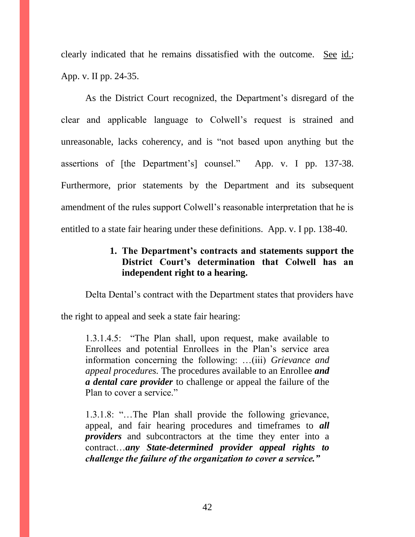clearly indicated that he remains dissatisfied with the outcome. See id.; App. v. II pp. 24-35.

As the District Court recognized, the Department's disregard of the clear and applicable language to Colwell's request is strained and unreasonable, lacks coherency, and is "not based upon anything but the assertions of [the Department's] counsel." App. v. I pp. 137-38. Furthermore, prior statements by the Department and its subsequent amendment of the rules support Colwell's reasonable interpretation that he is entitled to a state fair hearing under these definitions. App. v. I pp. 138-40.

## **1. The Department's contracts and statements support the District Court's determination that Colwell has an independent right to a hearing.**

Delta Dental's contract with the Department states that providers have

the right to appeal and seek a state fair hearing:

1.3.1.4.5: "The Plan shall, upon request, make available to Enrollees and potential Enrollees in the Plan's service area information concerning the following: …(iii) *Grievance and appeal procedures.* The procedures available to an Enrollee *and a dental care provider* to challenge or appeal the failure of the Plan to cover a service."

1.3.1.8: "…The Plan shall provide the following grievance, appeal, and fair hearing procedures and timeframes to *all providers* and subcontractors at the time they enter into a contract…*any State-determined provider appeal rights to challenge the failure of the organization to cover a service."*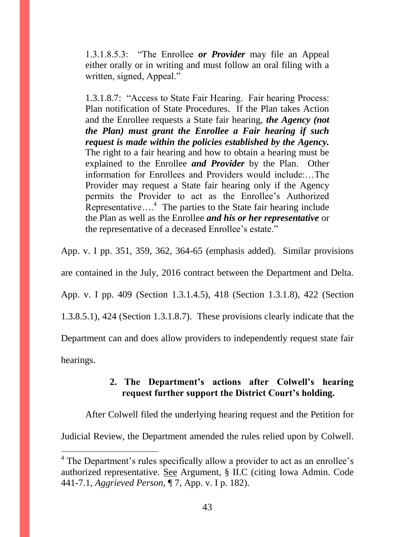1.3.1.8.5.3: "The Enrollee *or Provider* may file an Appeal either orally or in writing and must follow an oral filing with a written, signed, Appeal."

1.3.1.8.7: "Access to State Fair Hearing. Fair hearing Process: Plan notification of State Procedures. If the Plan takes Action and the Enrollee requests a State fair hearing, *the Agency (not the Plan) must grant the Enrollee a Fair hearing if such request is made within the policies established by the Agency.* The right to a fair hearing and how to obtain a hearing must be explained to the Enrollee *and Provider* by the Plan. Other information for Enrollees and Providers would include:…The Provider may request a State fair hearing only if the Agency permits the Provider to act as the Enrollee's Authorized Representative....<sup>4</sup> The parties to the State fair hearing include the Plan as well as the Enrollee *and his or her representative* or the representative of a deceased Enrollee's estate."

App. v. I pp. 351, 359, 362, 364-65 (emphasis added). Similar provisions are contained in the July, 2016 contract between the Department and Delta. App. v. I pp. 409 (Section 1.3.1.4.5), 418 (Section 1.3.1.8), 422 (Section 1.3.8.5.1), 424 (Section 1.3.1.8.7). These provisions clearly indicate that the Department can and does allow providers to independently request state fair hearings.

# **2. The Department's actions after Colwell's hearing request further support the District Court's holding.**

After Colwell filed the underlying hearing request and the Petition for

Judicial Review, the Department amended the rules relied upon by Colwell.

<sup>&</sup>lt;sup>4</sup> The Department's rules specifically allow a provider to act as an enrollee's authorized representative. See Argument, § II.C (citing Iowa Admin. Code 441-7.1, *Aggrieved Person*, ¶ 7, App. v. I p. 182).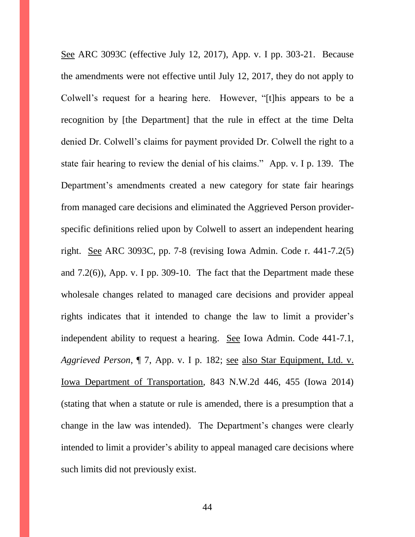See ARC 3093C (effective July 12, 2017), App. v. I pp. 303-21. Because the amendments were not effective until July 12, 2017, they do not apply to Colwell's request for a hearing here. However, "[t]his appears to be a recognition by [the Department] that the rule in effect at the time Delta denied Dr. Colwell's claims for payment provided Dr. Colwell the right to a state fair hearing to review the denial of his claims." App. v. I p. 139. The Department's amendments created a new category for state fair hearings from managed care decisions and eliminated the Aggrieved Person providerspecific definitions relied upon by Colwell to assert an independent hearing right. See ARC 3093C, pp. 7-8 (revising Iowa Admin. Code r. 441-7.2(5) and 7.2(6)), App. v. I pp. 309-10. The fact that the Department made these wholesale changes related to managed care decisions and provider appeal rights indicates that it intended to change the law to limit a provider's independent ability to request a hearing. See Iowa Admin. Code 441-7.1, *Aggrieved Person*, ¶ 7, App. v. I p. 182; see also Star Equipment, Ltd. v. Iowa Department of Transportation, 843 N.W.2d 446, 455 (Iowa 2014) (stating that when a statute or rule is amended, there is a presumption that a change in the law was intended). The Department's changes were clearly intended to limit a provider's ability to appeal managed care decisions where such limits did not previously exist.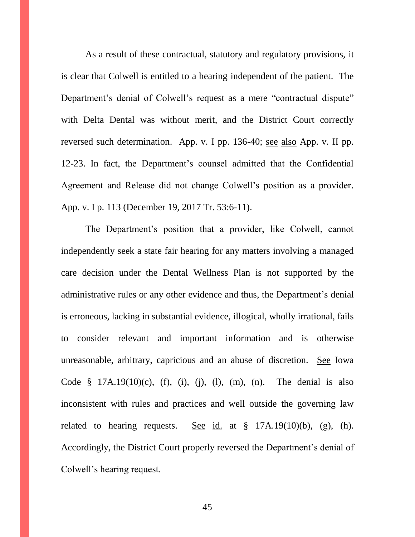As a result of these contractual, statutory and regulatory provisions, it is clear that Colwell is entitled to a hearing independent of the patient. The Department's denial of Colwell's request as a mere "contractual dispute" with Delta Dental was without merit, and the District Court correctly reversed such determination. App. v. I pp. 136-40; see also App. v. II pp. 12-23. In fact, the Department's counsel admitted that the Confidential Agreement and Release did not change Colwell's position as a provider. App. v. I p. 113 (December 19, 2017 Tr. 53:6-11).

The Department's position that a provider, like Colwell, cannot independently seek a state fair hearing for any matters involving a managed care decision under the Dental Wellness Plan is not supported by the administrative rules or any other evidence and thus, the Department's denial is erroneous, lacking in substantial evidence, illogical, wholly irrational, fails to consider relevant and important information and is otherwise unreasonable, arbitrary, capricious and an abuse of discretion. See Iowa Code  $\frac{8}{3}$  17A.19(10)(c), (f), (i), (i), (l), (m), (n). The denial is also inconsistent with rules and practices and well outside the governing law related to hearing requests. See id. at  $\S$  17A.19(10)(b), (g), (h). Accordingly, the District Court properly reversed the Department's denial of Colwell's hearing request.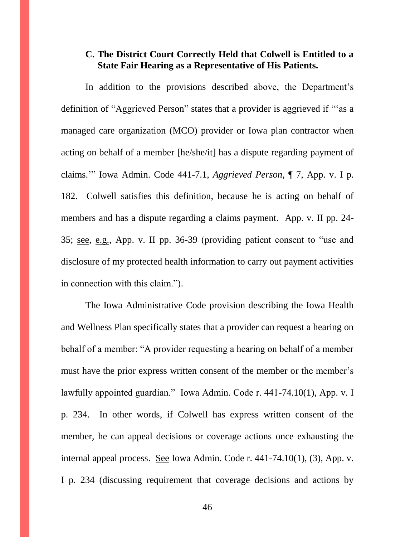## **C. The District Court Correctly Held that Colwell is Entitled to a State Fair Hearing as a Representative of His Patients.**

In addition to the provisions described above, the Department's definition of "Aggrieved Person" states that a provider is aggrieved if "'as a managed care organization (MCO) provider or Iowa plan contractor when acting on behalf of a member [he/she/it] has a dispute regarding payment of claims.'" Iowa Admin. Code 441-7.1, *Aggrieved Person*, ¶ 7, App. v. I p. 182. Colwell satisfies this definition, because he is acting on behalf of members and has a dispute regarding a claims payment. App. v. II pp. 24- 35; see, e.g., App. v. II pp. 36-39 (providing patient consent to "use and disclosure of my protected health information to carry out payment activities in connection with this claim.").

The Iowa Administrative Code provision describing the Iowa Health and Wellness Plan specifically states that a provider can request a hearing on behalf of a member: "A provider requesting a hearing on behalf of a member must have the prior express written consent of the member or the member's lawfully appointed guardian." Iowa Admin. Code r. 441-74.10(1), App. v. I p. 234. In other words, if Colwell has express written consent of the member, he can appeal decisions or coverage actions once exhausting the internal appeal process. See Iowa Admin. Code r. 441-74.10(1), (3), App. v. I p. 234 (discussing requirement that coverage decisions and actions by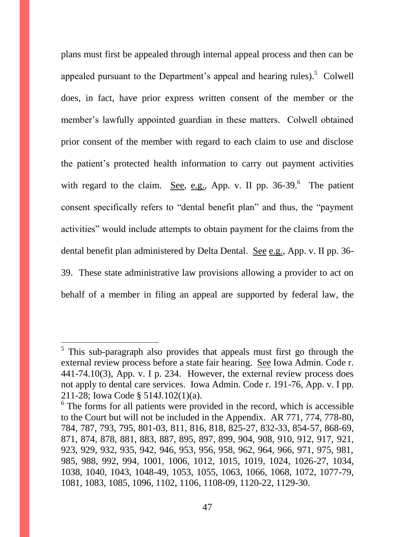plans must first be appealed through internal appeal process and then can be appealed pursuant to the Department's appeal and hearing rules).<sup>5</sup> Colwell does, in fact, have prior express written consent of the member or the member's lawfully appointed guardian in these matters. Colwell obtained prior consent of the member with regard to each claim to use and disclose the patient's protected health information to carry out payment activities with regard to the claim. See, e.g., App. v. II pp.  $36-39$ . The patient consent specifically refers to "dental benefit plan" and thus, the "payment activities" would include attempts to obtain payment for the claims from the dental benefit plan administered by Delta Dental. See e.g., App. v. II pp. 36- 39. These state administrative law provisions allowing a provider to act on behalf of a member in filing an appeal are supported by federal law, the

<sup>&</sup>lt;sup>5</sup> This sub-paragraph also provides that appeals must first go through the external review process before a state fair hearing. See Iowa Admin. Code r. 441-74.10(3), App. v. I p. 234. However, the external review process does not apply to dental care services. Iowa Admin. Code r. 191-76, App. v. I pp. 211-28; Iowa Code § 514J.102(1)(a).

 $6$  The forms for all patients were provided in the record, which is accessible to the Court but will not be included in the Appendix. AR 771, 774, 778-80, 784, 787, 793, 795, 801-03, 811, 816, 818, 825-27, 832-33, 854-57, 868-69, 871, 874, 878, 881, 883, 887, 895, 897, 899, 904, 908, 910, 912, 917, 921, 923, 929, 932, 935, 942, 946, 953, 956, 958, 962, 964, 966, 971, 975, 981, 985, 988, 992, 994, 1001, 1006, 1012, 1015, 1019, 1024, 1026-27, 1034, 1038, 1040, 1043, 1048-49, 1053, 1055, 1063, 1066, 1068, 1072, 1077-79, 1081, 1083, 1085, 1096, 1102, 1106, 1108-09, 1120-22, 1129-30.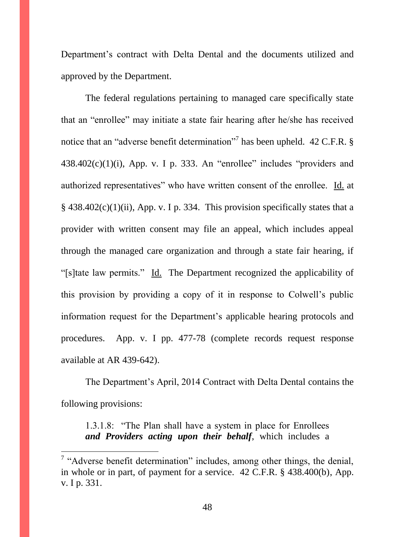Department's contract with Delta Dental and the documents utilized and approved by the Department.

The federal regulations pertaining to managed care specifically state that an "enrollee" may initiate a state fair hearing after he/she has received notice that an "adverse benefit determination"<sup>7</sup> has been upheld. 42 C.F.R.  $\S$  $438.402(c)(1)(i)$ , App. v. I p. 333. An "enrollee" includes "providers and authorized representatives" who have written consent of the enrollee. Id. at  $\S$  438.402(c)(1)(ii), App. v. I p. 334. This provision specifically states that a provider with written consent may file an appeal, which includes appeal through the managed care organization and through a state fair hearing, if "[s]tate law permits." Id. The Department recognized the applicability of this provision by providing a copy of it in response to Colwell's public information request for the Department's applicable hearing protocols and procedures. App. v. I pp. 477-78 (complete records request response available at AR 439-642).

The Department's April, 2014 Contract with Delta Dental contains the following provisions:

1.3.1.8: "The Plan shall have a system in place for Enrollees *and Providers acting upon their behalf*, which includes a

<sup>&</sup>lt;sup>7</sup> "Adverse benefit determination" includes, among other things, the denial, in whole or in part, of payment for a service. 42 C.F.R. § 438.400(b), App. v. I p. 331.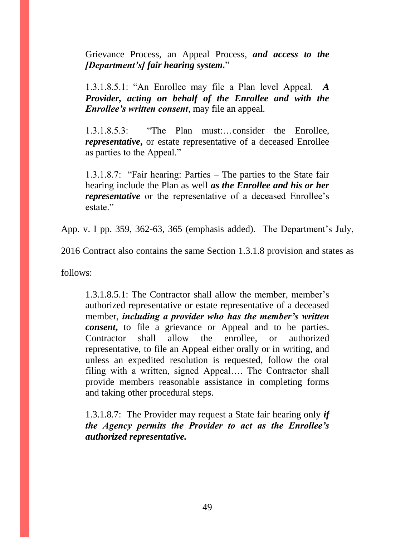Grievance Process, an Appeal Process, *and access to the [Department's] fair hearing system.*"

1.3.1.8.5.1: "An Enrollee may file a Plan level Appeal. *A Provider, acting on behalf of the Enrollee and with the Enrollee's written consent*, may file an appeal.

1.3.1.8.5.3: "The Plan must:…consider the Enrollee, *representative*, or estate representative of a deceased Enrollee as parties to the Appeal."

1.3.1.8.7: "Fair hearing: Parties – The parties to the State fair hearing include the Plan as well *as the Enrollee and his or her representative* or the representative of a deceased Enrollee's estate."

App. v. I pp. 359, 362-63, 365 (emphasis added). The Department's July,

2016 Contract also contains the same Section 1.3.1.8 provision and states as

follows:

1.3.1.8.5.1: The Contractor shall allow the member, member's authorized representative or estate representative of a deceased member, *including a provider who has the member's written consent*, to file a grievance or Appeal and to be parties. Contractor shall allow the enrollee, or authorized representative, to file an Appeal either orally or in writing, and unless an expedited resolution is requested, follow the oral filing with a written, signed Appeal…. The Contractor shall provide members reasonable assistance in completing forms and taking other procedural steps.

1.3.1.8.7: The Provider may request a State fair hearing only *if the Agency permits the Provider to act as the Enrollee's authorized representative.*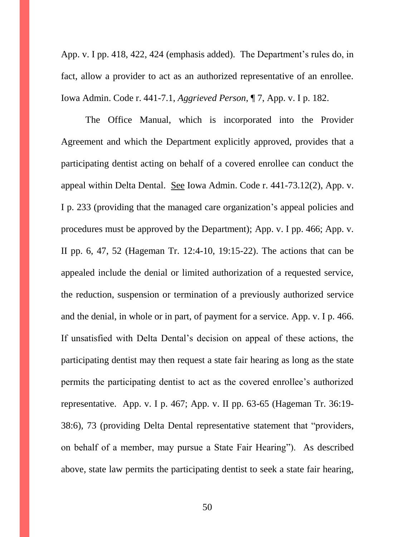App. v. I pp. 418, 422, 424 (emphasis added). The Department's rules do, in fact, allow a provider to act as an authorized representative of an enrollee. Iowa Admin. Code r. 441-7.1, *Aggrieved Person*, ¶ 7, App. v. I p. 182.

The Office Manual, which is incorporated into the Provider Agreement and which the Department explicitly approved, provides that a participating dentist acting on behalf of a covered enrollee can conduct the appeal within Delta Dental. See Iowa Admin. Code r. 441-73.12(2), App. v. I p. 233 (providing that the managed care organization's appeal policies and procedures must be approved by the Department); App. v. I pp. 466; App. v. II pp. 6, 47, 52 (Hageman Tr. 12:4-10, 19:15-22). The actions that can be appealed include the denial or limited authorization of a requested service, the reduction, suspension or termination of a previously authorized service and the denial, in whole or in part, of payment for a service. App. v. I p. 466. If unsatisfied with Delta Dental's decision on appeal of these actions, the participating dentist may then request a state fair hearing as long as the state permits the participating dentist to act as the covered enrollee's authorized representative. App. v. I p. 467; App. v. II pp. 63-65 (Hageman Tr. 36:19- 38:6), 73 (providing Delta Dental representative statement that "providers, on behalf of a member, may pursue a State Fair Hearing"). As described above, state law permits the participating dentist to seek a state fair hearing,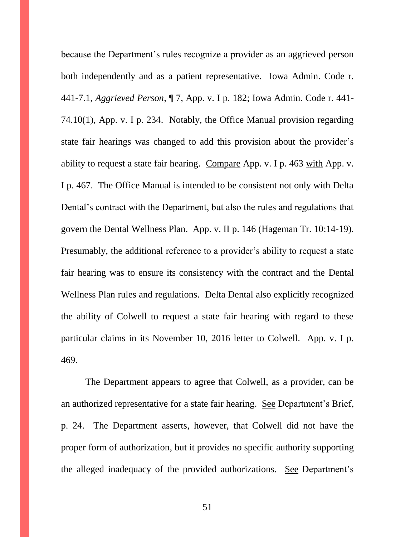because the Department's rules recognize a provider as an aggrieved person both independently and as a patient representative. Iowa Admin. Code r. 441-7.1, *Aggrieved Person*, ¶ 7, App. v. I p. 182; Iowa Admin. Code r. 441- 74.10(1), App. v. I p. 234. Notably, the Office Manual provision regarding state fair hearings was changed to add this provision about the provider's ability to request a state fair hearing. Compare App. v. I p. 463 with App. v. I p. 467. The Office Manual is intended to be consistent not only with Delta Dental's contract with the Department, but also the rules and regulations that govern the Dental Wellness Plan. App. v. II p. 146 (Hageman Tr. 10:14-19). Presumably, the additional reference to a provider's ability to request a state fair hearing was to ensure its consistency with the contract and the Dental Wellness Plan rules and regulations. Delta Dental also explicitly recognized the ability of Colwell to request a state fair hearing with regard to these particular claims in its November 10, 2016 letter to Colwell. App. v. I p. 469.

The Department appears to agree that Colwell, as a provider, can be an authorized representative for a state fair hearing. See Department's Brief, p. 24. The Department asserts, however, that Colwell did not have the proper form of authorization, but it provides no specific authority supporting the alleged inadequacy of the provided authorizations. See Department's

51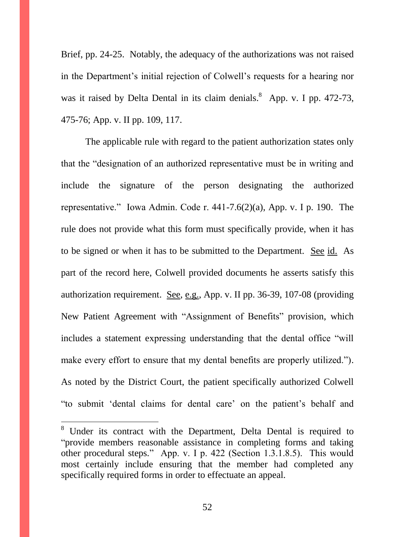Brief, pp. 24-25. Notably, the adequacy of the authorizations was not raised in the Department's initial rejection of Colwell's requests for a hearing nor was it raised by Delta Dental in its claim denials.<sup>8</sup> App. v. I pp. 472-73, 475-76; App. v. II pp. 109, 117.

The applicable rule with regard to the patient authorization states only that the "designation of an authorized representative must be in writing and include the signature of the person designating the authorized representative." Iowa Admin. Code r. 441-7.6(2)(a), App. v. I p. 190. The rule does not provide what this form must specifically provide, when it has to be signed or when it has to be submitted to the Department. See id. As part of the record here, Colwell provided documents he asserts satisfy this authorization requirement. See, e.g., App. v. II pp. 36-39, 107-08 (providing New Patient Agreement with "Assignment of Benefits" provision, which includes a statement expressing understanding that the dental office "will make every effort to ensure that my dental benefits are properly utilized."). As noted by the District Court, the patient specifically authorized Colwell "to submit 'dental claims for dental care' on the patient's behalf and

 $\overline{a}$ 

52

 $8$  Under its contract with the Department, Delta Dental is required to "provide members reasonable assistance in completing forms and taking other procedural steps." App. v. I p. 422 (Section 1.3.1.8.5). This would most certainly include ensuring that the member had completed any specifically required forms in order to effectuate an appeal.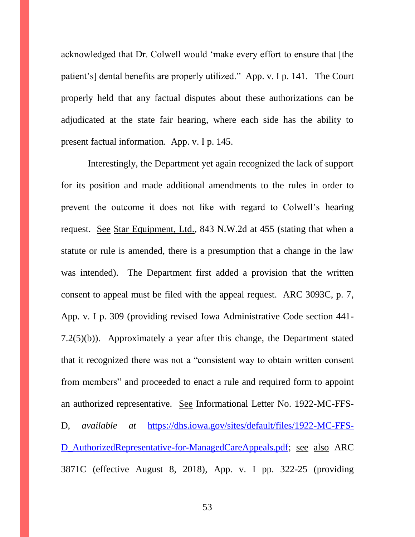acknowledged that Dr. Colwell would 'make every effort to ensure that [the patient's] dental benefits are properly utilized." App. v. I p. 141. The Court properly held that any factual disputes about these authorizations can be adjudicated at the state fair hearing, where each side has the ability to present factual information. App. v. I p. 145.

Interestingly, the Department yet again recognized the lack of support for its position and made additional amendments to the rules in order to prevent the outcome it does not like with regard to Colwell's hearing request. See Star Equipment, Ltd., 843 N.W.2d at 455 (stating that when a statute or rule is amended, there is a presumption that a change in the law was intended). The Department first added a provision that the written consent to appeal must be filed with the appeal request. ARC 3093C, p. 7, App. v. I p. 309 (providing revised Iowa Administrative Code section 441- 7.2(5)(b)). Approximately a year after this change, the Department stated that it recognized there was not a "consistent way to obtain written consent from members" and proceeded to enact a rule and required form to appoint an authorized representative. See Informational Letter No. 1922-MC-FFS-D, *available at* [https://dhs.iowa.gov/sites/default/files/1922-MC-FFS-](https://dhs.iowa.gov/sites/default/files/1922-MC-FFS-D_AuthorizedRepresentative-for-ManagedCareAppeals.pdf)D AuthorizedRepresentative-for-ManagedCareAppeals.pdf; see also ARC 3871C (effective August 8, 2018), App. v. I pp. 322-25 (providing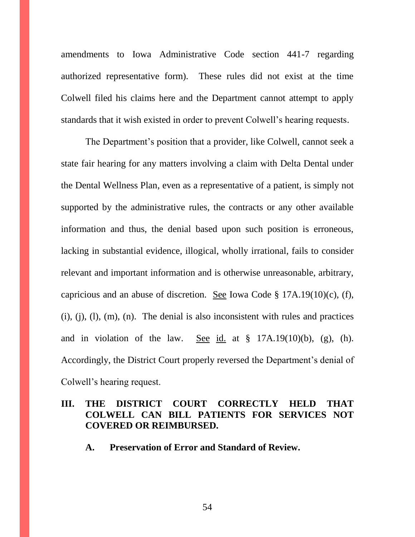amendments to Iowa Administrative Code section 441-7 regarding authorized representative form). These rules did not exist at the time Colwell filed his claims here and the Department cannot attempt to apply standards that it wish existed in order to prevent Colwell's hearing requests.

The Department's position that a provider, like Colwell, cannot seek a state fair hearing for any matters involving a claim with Delta Dental under the Dental Wellness Plan, even as a representative of a patient, is simply not supported by the administrative rules, the contracts or any other available information and thus, the denial based upon such position is erroneous, lacking in substantial evidence, illogical, wholly irrational, fails to consider relevant and important information and is otherwise unreasonable, arbitrary, capricious and an abuse of discretion. See Iowa Code § 17A.19(10)(c), (f),  $(i)$ ,  $(i)$ ,  $(l)$ ,  $(m)$ ,  $(n)$ . The denial is also inconsistent with rules and practices and in violation of the law. See id. at  $\S$  17A.19(10)(b), (g), (h). Accordingly, the District Court properly reversed the Department's denial of Colwell's hearing request.

## **III. THE DISTRICT COURT CORRECTLY HELD THAT COLWELL CAN BILL PATIENTS FOR SERVICES NOT COVERED OR REIMBURSED.**

**A. Preservation of Error and Standard of Review.**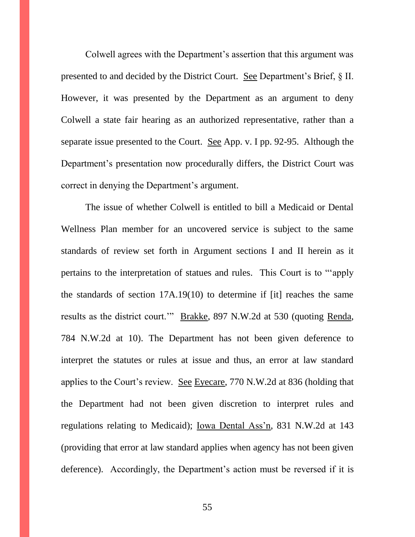Colwell agrees with the Department's assertion that this argument was presented to and decided by the District Court. See Department's Brief, § II. However, it was presented by the Department as an argument to deny Colwell a state fair hearing as an authorized representative, rather than a separate issue presented to the Court. See App. v. I pp. 92-95. Although the Department's presentation now procedurally differs, the District Court was correct in denying the Department's argument.

The issue of whether Colwell is entitled to bill a Medicaid or Dental Wellness Plan member for an uncovered service is subject to the same standards of review set forth in Argument sections I and II herein as it pertains to the interpretation of statues and rules. This Court is to "'apply the standards of section 17A.19(10) to determine if [it] reaches the same results as the district court.'" Brakke, 897 N.W.2d at 530 (quoting Renda, 784 N.W.2d at 10). The Department has not been given deference to interpret the statutes or rules at issue and thus, an error at law standard applies to the Court's review. See Eyecare, 770 N.W.2d at 836 (holding that the Department had not been given discretion to interpret rules and regulations relating to Medicaid); Iowa Dental Ass'n, 831 N.W.2d at 143 (providing that error at law standard applies when agency has not been given deference). Accordingly, the Department's action must be reversed if it is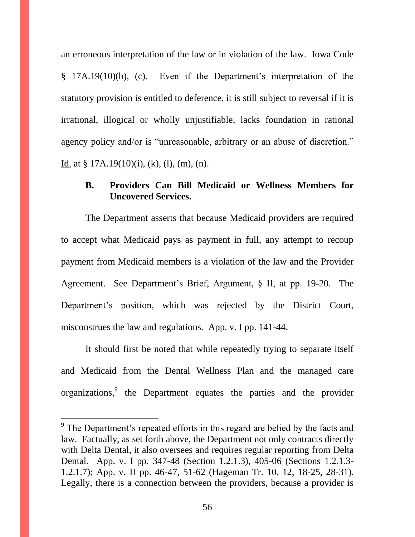an erroneous interpretation of the law or in violation of the law. Iowa Code § 17A.19(10)(b), (c). Even if the Department's interpretation of the statutory provision is entitled to deference, it is still subject to reversal if it is irrational, illogical or wholly unjustifiable, lacks foundation in rational agency policy and/or is "unreasonable, arbitrary or an abuse of discretion." Id. at § 17A.19 $(10)(i)$ ,  $(k)$ ,  $(l)$ ,  $(m)$ ,  $(n)$ .

#### **B. Providers Can Bill Medicaid or Wellness Members for Uncovered Services.**

The Department asserts that because Medicaid providers are required to accept what Medicaid pays as payment in full, any attempt to recoup payment from Medicaid members is a violation of the law and the Provider Agreement. See Department's Brief, Argument, § II, at pp. 19-20. The Department's position, which was rejected by the District Court, misconstrues the law and regulations. App. v. I pp. 141-44.

It should first be noted that while repeatedly trying to separate itself and Medicaid from the Dental Wellness Plan and the managed care organizations,<sup>9</sup> the Department equates the parties and the provider

<sup>&</sup>lt;sup>9</sup> The Department's repeated efforts in this regard are belied by the facts and law. Factually, as set forth above, the Department not only contracts directly with Delta Dental, it also oversees and requires regular reporting from Delta Dental. App. v. I pp. 347-48 (Section 1.2.1.3), 405-06 (Sections 1.2.1.3- 1.2.1.7); App. v. II pp. 46-47, 51-62 (Hageman Tr. 10, 12, 18-25, 28-31). Legally, there is a connection between the providers, because a provider is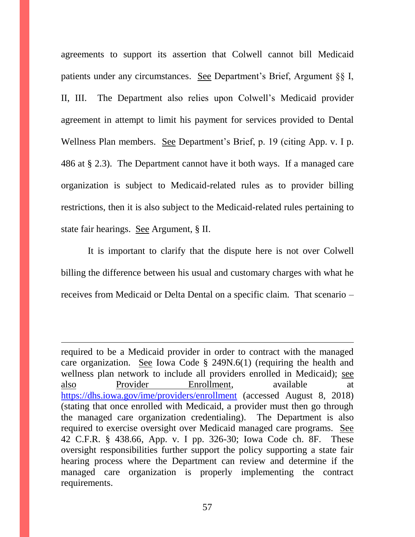agreements to support its assertion that Colwell cannot bill Medicaid patients under any circumstances. See Department's Brief, Argument §§ I, II, III. The Department also relies upon Colwell's Medicaid provider agreement in attempt to limit his payment for services provided to Dental Wellness Plan members. See Department's Brief, p. 19 (citing App. v. I p. 486 at § 2.3). The Department cannot have it both ways. If a managed care organization is subject to Medicaid-related rules as to provider billing restrictions, then it is also subject to the Medicaid-related rules pertaining to state fair hearings. See Argument, § II.

It is important to clarify that the dispute here is not over Colwell billing the difference between his usual and customary charges with what he receives from Medicaid or Delta Dental on a specific claim. That scenario –

required to be a Medicaid provider in order to contract with the managed care organization. See Iowa Code § 249N.6(1) (requiring the health and wellness plan network to include all providers enrolled in Medicaid); see also Provider Enrollment, available at <https://dhs.iowa.gov/ime/providers/enrollment> (accessed August 8, 2018) (stating that once enrolled with Medicaid, a provider must then go through the managed care organization credentialing). The Department is also required to exercise oversight over Medicaid managed care programs. See 42 C.F.R. § 438.66, App. v. I pp. 326-30; Iowa Code ch. 8F. These oversight responsibilities further support the policy supporting a state fair hearing process where the Department can review and determine if the managed care organization is properly implementing the contract requirements.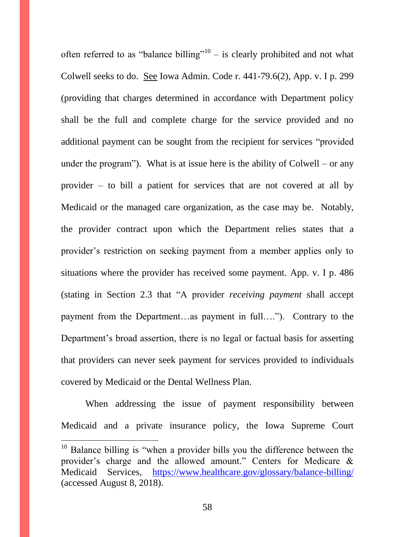often referred to as "balance billing"<sup>10</sup> – is clearly prohibited and not what Colwell seeks to do. See Iowa Admin. Code r. 441-79.6(2), App. v. I p. 299 (providing that charges determined in accordance with Department policy shall be the full and complete charge for the service provided and no additional payment can be sought from the recipient for services "provided under the program"). What is at issue here is the ability of  $Colwell - or any$ provider – to bill a patient for services that are not covered at all by Medicaid or the managed care organization, as the case may be. Notably, the provider contract upon which the Department relies states that a provider's restriction on seeking payment from a member applies only to situations where the provider has received some payment. App. v. I p. 486 (stating in Section 2.3 that "A provider *receiving payment* shall accept payment from the Department…as payment in full…."). Contrary to the Department's broad assertion, there is no legal or factual basis for asserting that providers can never seek payment for services provided to individuals covered by Medicaid or the Dental Wellness Plan.

When addressing the issue of payment responsibility between Medicaid and a private insurance policy, the Iowa Supreme Court

<sup>&</sup>lt;sup>10</sup> Balance billing is "when a provider bills you the difference between the provider's charge and the allowed amount." Centers for Medicare & Medicaid Services, <https://www.healthcare.gov/glossary/balance-billing/> (accessed August 8, 2018).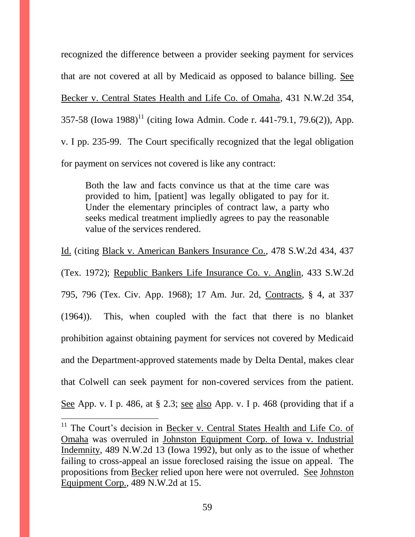recognized the difference between a provider seeking payment for services that are not covered at all by Medicaid as opposed to balance billing. See Becker v. Central States Health and Life Co. of Omaha, 431 N.W.2d 354, 357-58 (Iowa 1988)<sup>11</sup> (citing Iowa Admin. Code r. 441-79.1, 79.6(2)), App. v. I pp. 235-99. The Court specifically recognized that the legal obligation for payment on services not covered is like any contract:

Both the law and facts convince us that at the time care was provided to him, [patient] was legally obligated to pay for it. Under the elementary principles of contract law, a party who seeks medical treatment impliedly agrees to pay the reasonable value of the services rendered.

Id. (citing Black v. American Bankers Insurance Co., 478 S.W.2d 434, 437 (Tex. 1972); Republic Bankers Life Insurance Co. v. Anglin, 433 S.W.2d 795, 796 (Tex. Civ. App. 1968); 17 Am. Jur. 2d, Contracts, § 4, at 337 (1964)). This, when coupled with the fact that there is no blanket prohibition against obtaining payment for services not covered by Medicaid and the Department-approved statements made by Delta Dental, makes clear that Colwell can seek payment for non-covered services from the patient. See App. v. I p. 486, at § 2.3; see also App. v. I p. 468 (providing that if a

 $11$  The Court's decision in Becker v. Central States Health and Life Co. of Omaha was overruled in Johnston Equipment Corp. of Iowa v. Industrial Indemnity, 489 N.W.2d 13 (Iowa 1992), but only as to the issue of whether failing to cross-appeal an issue foreclosed raising the issue on appeal. The propositions from Becker relied upon here were not overruled. See Johnston Equipment Corp., 489 N.W.2d at 15.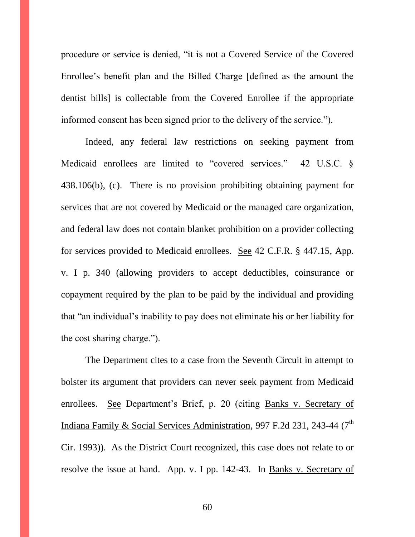procedure or service is denied, "it is not a Covered Service of the Covered Enrollee's benefit plan and the Billed Charge [defined as the amount the dentist bills] is collectable from the Covered Enrollee if the appropriate informed consent has been signed prior to the delivery of the service.").

Indeed, any federal law restrictions on seeking payment from Medicaid enrollees are limited to "covered services." 42 U.S.C. § 438.106(b), (c). There is no provision prohibiting obtaining payment for services that are not covered by Medicaid or the managed care organization, and federal law does not contain blanket prohibition on a provider collecting for services provided to Medicaid enrollees. See 42 C.F.R. § 447.15, App. v. I p. 340 (allowing providers to accept deductibles, coinsurance or copayment required by the plan to be paid by the individual and providing that "an individual's inability to pay does not eliminate his or her liability for the cost sharing charge.").

The Department cites to a case from the Seventh Circuit in attempt to bolster its argument that providers can never seek payment from Medicaid enrollees. See Department's Brief, p. 20 (citing Banks v. Secretary of Indiana Family & Social Services Administration, 997 F.2d 231, 243-44 ( $7<sup>th</sup>$ Cir. 1993)). As the District Court recognized, this case does not relate to or resolve the issue at hand. App. v. I pp. 142-43. In Banks v. Secretary of

60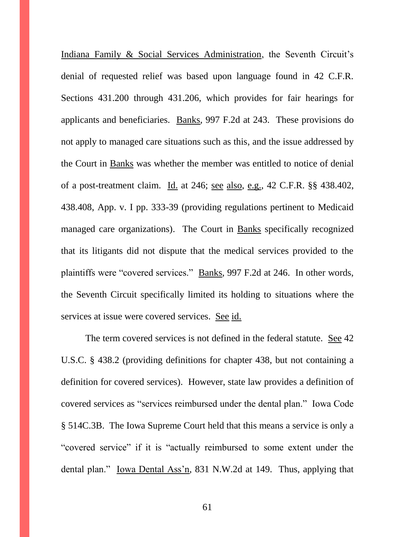Indiana Family & Social Services Administration, the Seventh Circuit's denial of requested relief was based upon language found in 42 C.F.R. Sections 431.200 through 431.206, which provides for fair hearings for applicants and beneficiaries. Banks, 997 F.2d at 243. These provisions do not apply to managed care situations such as this, and the issue addressed by the Court in Banks was whether the member was entitled to notice of denial of a post-treatment claim. Id. at 246; see also, e.g., 42 C.F.R. §§ 438.402, 438.408, App. v. I pp. 333-39 (providing regulations pertinent to Medicaid managed care organizations). The Court in Banks specifically recognized that its litigants did not dispute that the medical services provided to the plaintiffs were "covered services." Banks, 997 F.2d at 246. In other words, the Seventh Circuit specifically limited its holding to situations where the services at issue were covered services. See id.

The term covered services is not defined in the federal statute. See 42 U.S.C. § 438.2 (providing definitions for chapter 438, but not containing a definition for covered services). However, state law provides a definition of covered services as "services reimbursed under the dental plan." Iowa Code § 514C.3B. The Iowa Supreme Court held that this means a service is only a "covered service" if it is "actually reimbursed to some extent under the dental plan." Iowa Dental Ass'n, 831 N.W.2d at 149. Thus, applying that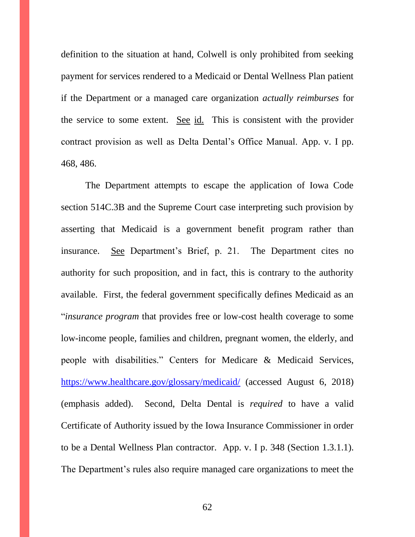definition to the situation at hand, Colwell is only prohibited from seeking payment for services rendered to a Medicaid or Dental Wellness Plan patient if the Department or a managed care organization *actually reimburses* for the service to some extent. See id. This is consistent with the provider contract provision as well as Delta Dental's Office Manual. App. v. I pp. 468, 486.

The Department attempts to escape the application of Iowa Code section 514C.3B and the Supreme Court case interpreting such provision by asserting that Medicaid is a government benefit program rather than insurance. See Department's Brief, p. 21. The Department cites no authority for such proposition, and in fact, this is contrary to the authority available. First, the federal government specifically defines Medicaid as an "*insurance program* that provides free or low-cost health coverage to some low-income people, families and children, pregnant women, the elderly, and people with disabilities." Centers for Medicare & Medicaid Services, <https://www.healthcare.gov/glossary/medicaid/> (accessed August 6, 2018) (emphasis added). Second, Delta Dental is *required* to have a valid Certificate of Authority issued by the Iowa Insurance Commissioner in order to be a Dental Wellness Plan contractor. App. v. I p. 348 (Section 1.3.1.1). The Department's rules also require managed care organizations to meet the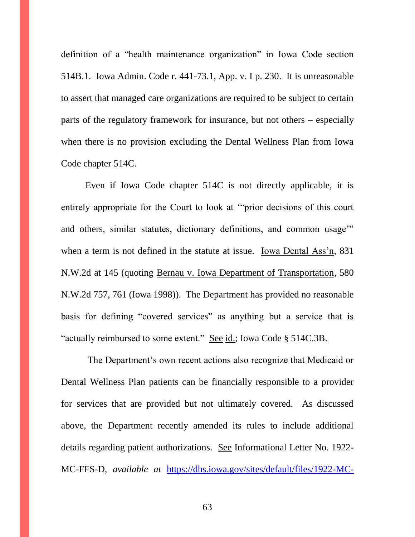definition of a "health maintenance organization" in Iowa Code section 514B.1. Iowa Admin. Code r. 441-73.1, App. v. I p. 230. It is unreasonable to assert that managed care organizations are required to be subject to certain parts of the regulatory framework for insurance, but not others – especially when there is no provision excluding the Dental Wellness Plan from Iowa Code chapter 514C.

Even if Iowa Code chapter 514C is not directly applicable, it is entirely appropriate for the Court to look at '"prior decisions of this court and others, similar statutes, dictionary definitions, and common usage'" when a term is not defined in the statute at issue. Iowa Dental Ass'n, 831 N.W.2d at 145 (quoting Bernau v. Iowa Department of Transportation, 580 N.W.2d 757, 761 (Iowa 1998)). The Department has provided no reasonable basis for defining "covered services" as anything but a service that is "actually reimbursed to some extent." See id.; Iowa Code § 514C.3B.

The Department's own recent actions also recognize that Medicaid or Dental Wellness Plan patients can be financially responsible to a provider for services that are provided but not ultimately covered. As discussed above, the Department recently amended its rules to include additional details regarding patient authorizations. See Informational Letter No. 1922- MC-FFS-D, *available at* [https://dhs.iowa.gov/sites/default/files/1922-MC-](https://dhs.iowa.gov/sites/default/files/1922-MC-FFS-D_AuthorizedRepresentative-for-ManagedCareAppeals.pdf)

63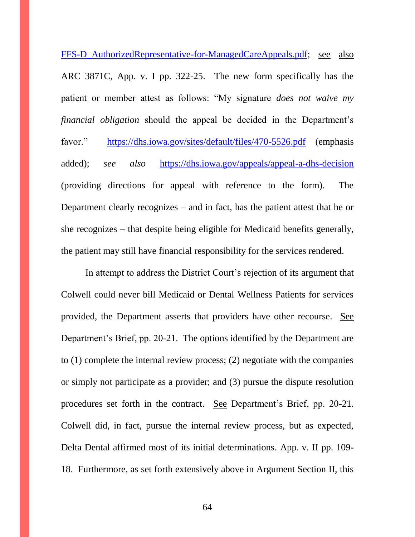[FFS-D\\_AuthorizedRepresentative-for-ManagedCareAppeals.pdf;](https://dhs.iowa.gov/sites/default/files/1922-MC-FFS-D_AuthorizedRepresentative-for-ManagedCareAppeals.pdf) see also ARC 3871C, App. v. I pp. 322-25. The new form specifically has the patient or member attest as follows: "My signature *does not waive my financial obligation* should the appeal be decided in the Department's favor." <https://dhs.iowa.gov/sites/default/files/470-5526.pdf> (emphasis added); *see also* <https://dhs.iowa.gov/appeals/appeal-a-dhs-decision> (providing directions for appeal with reference to the form). The Department clearly recognizes – and in fact, has the patient attest that he or she recognizes – that despite being eligible for Medicaid benefits generally, the patient may still have financial responsibility for the services rendered.

In attempt to address the District Court's rejection of its argument that Colwell could never bill Medicaid or Dental Wellness Patients for services provided, the Department asserts that providers have other recourse. See Department's Brief, pp. 20-21. The options identified by the Department are to (1) complete the internal review process; (2) negotiate with the companies or simply not participate as a provider; and (3) pursue the dispute resolution procedures set forth in the contract. See Department's Brief, pp. 20-21. Colwell did, in fact, pursue the internal review process, but as expected, Delta Dental affirmed most of its initial determinations. App. v. II pp. 109- 18. Furthermore, as set forth extensively above in Argument Section II, this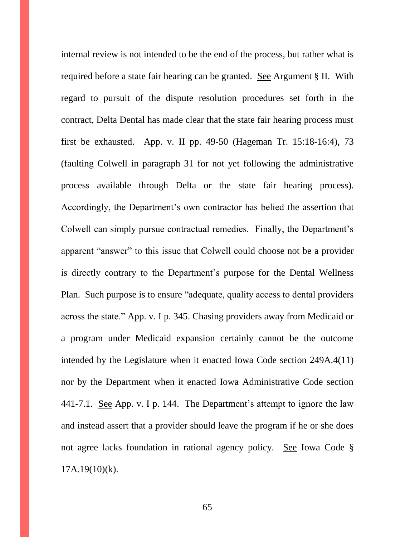internal review is not intended to be the end of the process, but rather what is required before a state fair hearing can be granted. See Argument § II. With regard to pursuit of the dispute resolution procedures set forth in the contract, Delta Dental has made clear that the state fair hearing process must first be exhausted. App. v. II pp. 49-50 (Hageman Tr. 15:18-16:4), 73 (faulting Colwell in paragraph 31 for not yet following the administrative process available through Delta or the state fair hearing process). Accordingly, the Department's own contractor has belied the assertion that Colwell can simply pursue contractual remedies. Finally, the Department's apparent "answer" to this issue that Colwell could choose not be a provider is directly contrary to the Department's purpose for the Dental Wellness Plan. Such purpose is to ensure "adequate, quality access to dental providers across the state." App. v. I p. 345. Chasing providers away from Medicaid or a program under Medicaid expansion certainly cannot be the outcome intended by the Legislature when it enacted Iowa Code section 249A.4(11) nor by the Department when it enacted Iowa Administrative Code section 441-7.1. See App. v. I p. 144. The Department's attempt to ignore the law and instead assert that a provider should leave the program if he or she does not agree lacks foundation in rational agency policy. See Iowa Code §  $17A.19(10)(k)$ .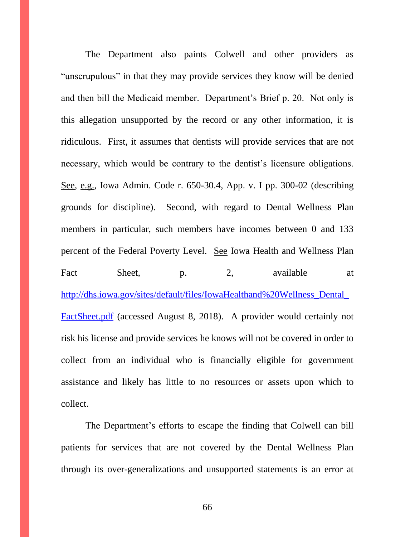The Department also paints Colwell and other providers as "unscrupulous" in that they may provide services they know will be denied and then bill the Medicaid member. Department's Brief p. 20. Not only is this allegation unsupported by the record or any other information, it is ridiculous. First, it assumes that dentists will provide services that are not necessary, which would be contrary to the dentist's licensure obligations. See, e.g., Iowa Admin. Code r. 650-30.4, App. v. I pp. 300-02 (describing grounds for discipline). Second, with regard to Dental Wellness Plan members in particular, such members have incomes between 0 and 133 percent of the Federal Poverty Level. See Iowa Health and Wellness Plan Fact Sheet, p. 2, available at [http://dhs.iowa.gov/sites/default/files/IowaHealthand%20Wellness\\_Dental\\_](http://dhs.iowa.gov/sites/default/files/IowaHealthand%20Wellness_Dental_FactSheet.pdf) [FactSheet.pdf](http://dhs.iowa.gov/sites/default/files/IowaHealthand%20Wellness_Dental_FactSheet.pdf) (accessed August 8, 2018). A provider would certainly not risk his license and provide services he knows will not be covered in order to collect from an individual who is financially eligible for government assistance and likely has little to no resources or assets upon which to collect.

The Department's efforts to escape the finding that Colwell can bill patients for services that are not covered by the Dental Wellness Plan through its over-generalizations and unsupported statements is an error at

66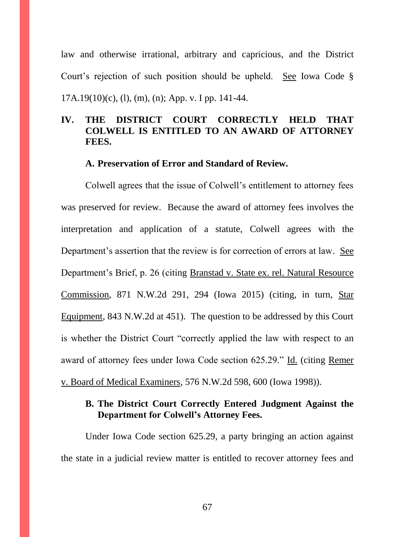law and otherwise irrational, arbitrary and capricious, and the District Court's rejection of such position should be upheld. See Iowa Code § 17A.19(10)(c), (l), (m), (n); App. v. I pp. 141-44.

## **IV. THE DISTRICT COURT CORRECTLY HELD THAT COLWELL IS ENTITLED TO AN AWARD OF ATTORNEY FEES.**

#### **A. Preservation of Error and Standard of Review.**

Colwell agrees that the issue of Colwell's entitlement to attorney fees was preserved for review. Because the award of attorney fees involves the interpretation and application of a statute, Colwell agrees with the Department's assertion that the review is for correction of errors at law. See Department's Brief, p. 26 (citing Branstad v. State ex. rel. Natural Resource Commission, 871 N.W.2d 291, 294 (Iowa 2015) (citing, in turn, Star Equipment, 843 N.W.2d at 451). The question to be addressed by this Court is whether the District Court "correctly applied the law with respect to an award of attorney fees under Iowa Code section 625.29." Id. (citing Remer v. Board of Medical Examiners, 576 N.W.2d 598, 600 (Iowa 1998)).

## **B. The District Court Correctly Entered Judgment Against the Department for Colwell's Attorney Fees.**

Under Iowa Code section 625.29, a party bringing an action against the state in a judicial review matter is entitled to recover attorney fees and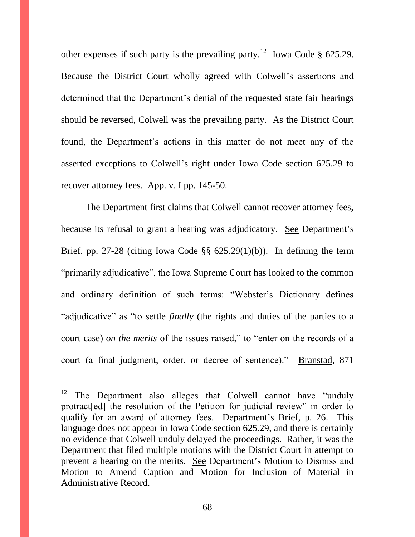other expenses if such party is the prevailing party.<sup>12</sup> Iowa Code § 625.29. Because the District Court wholly agreed with Colwell's assertions and determined that the Department's denial of the requested state fair hearings should be reversed, Colwell was the prevailing party. As the District Court found, the Department's actions in this matter do not meet any of the asserted exceptions to Colwell's right under Iowa Code section 625.29 to recover attorney fees. App. v. I pp. 145-50.

The Department first claims that Colwell cannot recover attorney fees, because its refusal to grant a hearing was adjudicatory. See Department's Brief, pp. 27-28 (citing Iowa Code  $\S$ § 625.29(1)(b)). In defining the term "primarily adjudicative", the Iowa Supreme Court has looked to the common and ordinary definition of such terms: "Webster's Dictionary defines "adjudicative" as "to settle *finally* (the rights and duties of the parties to a court case) *on the merits* of the issues raised," to "enter on the records of a court (a final judgment, order, or decree of sentence)." Branstad, 871

<sup>12</sup> The Department also alleges that Colwell cannot have "unduly" protract[ed] the resolution of the Petition for judicial review" in order to qualify for an award of attorney fees. Department's Brief, p. 26. This language does not appear in Iowa Code section 625.29, and there is certainly no evidence that Colwell unduly delayed the proceedings. Rather, it was the Department that filed multiple motions with the District Court in attempt to prevent a hearing on the merits. See Department's Motion to Dismiss and Motion to Amend Caption and Motion for Inclusion of Material in Administrative Record.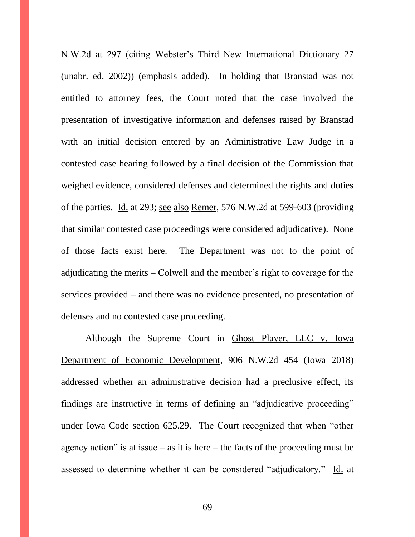N.W.2d at 297 (citing Webster's Third New International Dictionary 27 (unabr. ed. 2002)) (emphasis added). In holding that Branstad was not entitled to attorney fees, the Court noted that the case involved the presentation of investigative information and defenses raised by Branstad with an initial decision entered by an Administrative Law Judge in a contested case hearing followed by a final decision of the Commission that weighed evidence, considered defenses and determined the rights and duties of the parties. Id. at 293; see also Remer, 576 N.W.2d at 599-603 (providing that similar contested case proceedings were considered adjudicative). None of those facts exist here. The Department was not to the point of adjudicating the merits – Colwell and the member's right to coverage for the services provided – and there was no evidence presented, no presentation of defenses and no contested case proceeding.

Although the Supreme Court in Ghost Player, LLC v. Iowa Department of Economic Development, 906 N.W.2d 454 (Iowa 2018) addressed whether an administrative decision had a preclusive effect, its findings are instructive in terms of defining an "adjudicative proceeding" under Iowa Code section 625.29. The Court recognized that when "other agency action" is at issue – as it is here – the facts of the proceeding must be assessed to determine whether it can be considered "adjudicatory." Id. at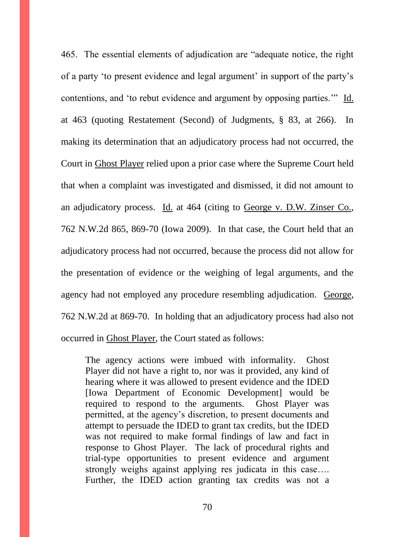465. The essential elements of adjudication are "adequate notice, the right of a party 'to present evidence and legal argument' in support of the party's contentions, and 'to rebut evidence and argument by opposing parties.'" Id. at 463 (quoting Restatement (Second) of Judgments, § 83, at 266). In making its determination that an adjudicatory process had not occurred, the Court in Ghost Player relied upon a prior case where the Supreme Court held that when a complaint was investigated and dismissed, it did not amount to an adjudicatory process. Id. at 464 (citing to George v. D.W. Zinser Co., 762 N.W.2d 865, 869-70 (Iowa 2009). In that case, the Court held that an adjudicatory process had not occurred, because the process did not allow for the presentation of evidence or the weighing of legal arguments, and the agency had not employed any procedure resembling adjudication. George, 762 N.W.2d at 869-70. In holding that an adjudicatory process had also not occurred in Ghost Player, the Court stated as follows:

The agency actions were imbued with informality. Ghost Player did not have a right to, nor was it provided, any kind of hearing where it was allowed to present evidence and the IDED [Iowa Department of Economic Development] would be required to respond to the arguments. Ghost Player was permitted, at the agency's discretion, to present documents and attempt to persuade the IDED to grant tax credits, but the IDED was not required to make formal findings of law and fact in response to Ghost Player. The lack of procedural rights and trial-type opportunities to present evidence and argument strongly weighs against applying res judicata in this case…. Further, the IDED action granting tax credits was not a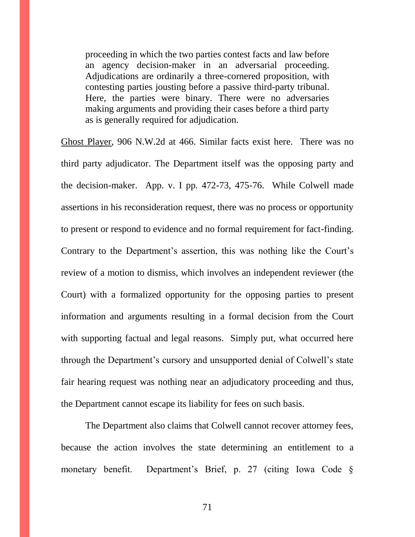proceeding in which the two parties contest facts and law before an agency decision-maker in an adversarial proceeding. Adjudications are ordinarily a three-cornered proposition, with contesting parties jousting before a passive third-party tribunal. Here, the parties were binary. There were no adversaries making arguments and providing their cases before a third party as is generally required for adjudication.

Ghost Player, 906 N.W.2d at 466. Similar facts exist here. There was no third party adjudicator. The Department itself was the opposing party and the decision-maker. App. v. I pp. 472-73, 475-76. While Colwell made assertions in his reconsideration request, there was no process or opportunity to present or respond to evidence and no formal requirement for fact-finding. Contrary to the Department's assertion, this was nothing like the Court's review of a motion to dismiss, which involves an independent reviewer (the Court) with a formalized opportunity for the opposing parties to present information and arguments resulting in a formal decision from the Court with supporting factual and legal reasons. Simply put, what occurred here through the Department's cursory and unsupported denial of Colwell's state fair hearing request was nothing near an adjudicatory proceeding and thus, the Department cannot escape its liability for fees on such basis.

The Department also claims that Colwell cannot recover attorney fees, because the action involves the state determining an entitlement to a monetary benefit. Department's Brief, p. 27 (citing Iowa Code §

71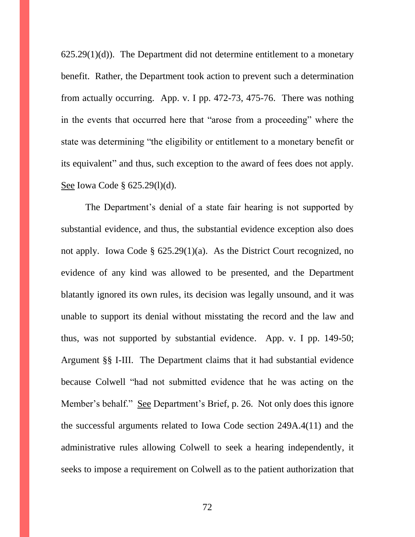$625.29(1)(d)$ . The Department did not determine entitlement to a monetary benefit. Rather, the Department took action to prevent such a determination from actually occurring. App. v. I pp. 472-73, 475-76. There was nothing in the events that occurred here that "arose from a proceeding" where the state was determining "the eligibility or entitlement to a monetary benefit or its equivalent" and thus, such exception to the award of fees does not apply. See Iowa Code § 625.29(1)(d).

The Department's denial of a state fair hearing is not supported by substantial evidence, and thus, the substantial evidence exception also does not apply. Iowa Code § 625.29(1)(a). As the District Court recognized, no evidence of any kind was allowed to be presented, and the Department blatantly ignored its own rules, its decision was legally unsound, and it was unable to support its denial without misstating the record and the law and thus, was not supported by substantial evidence. App. v. I pp. 149-50; Argument §§ I-III. The Department claims that it had substantial evidence because Colwell "had not submitted evidence that he was acting on the Member's behalf." See Department's Brief, p. 26. Not only does this ignore the successful arguments related to Iowa Code section 249A.4(11) and the administrative rules allowing Colwell to seek a hearing independently, it seeks to impose a requirement on Colwell as to the patient authorization that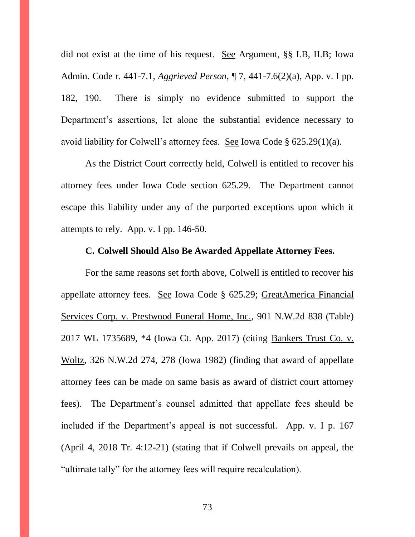did not exist at the time of his request. See Argument, §§ I.B, II.B; Iowa Admin. Code r. 441-7.1, *Aggrieved Person,* ¶ 7, 441-7.6(2)(a), App. v. I pp. 182, 190. There is simply no evidence submitted to support the Department's assertions, let alone the substantial evidence necessary to avoid liability for Colwell's attorney fees. See Iowa Code § 625.29(1)(a).

As the District Court correctly held, Colwell is entitled to recover his attorney fees under Iowa Code section 625.29. The Department cannot escape this liability under any of the purported exceptions upon which it attempts to rely. App. v. I pp. 146-50.

#### **C. Colwell Should Also Be Awarded Appellate Attorney Fees.**

For the same reasons set forth above, Colwell is entitled to recover his appellate attorney fees. See Iowa Code § 625.29; GreatAmerica Financial Services Corp. v. Prestwood Funeral Home, Inc., 901 N.W.2d 838 (Table) 2017 WL 1735689, \*4 (Iowa Ct. App. 2017) (citing Bankers Trust Co. v. Woltz, 326 N.W.2d 274, 278 (Iowa 1982) (finding that award of appellate attorney fees can be made on same basis as award of district court attorney fees). The Department's counsel admitted that appellate fees should be included if the Department's appeal is not successful. App. v. I p. 167 (April 4, 2018 Tr. 4:12-21) (stating that if Colwell prevails on appeal, the "ultimate tally" for the attorney fees will require recalculation).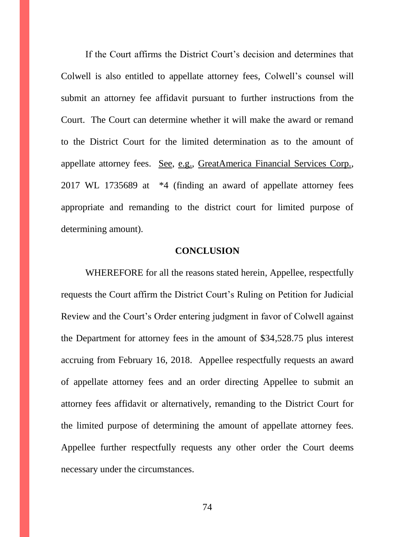If the Court affirms the District Court's decision and determines that Colwell is also entitled to appellate attorney fees, Colwell's counsel will submit an attorney fee affidavit pursuant to further instructions from the Court. The Court can determine whether it will make the award or remand to the District Court for the limited determination as to the amount of appellate attorney fees. See, e.g., GreatAmerica Financial Services Corp., 2017 WL 1735689 at \*4 (finding an award of appellate attorney fees appropriate and remanding to the district court for limited purpose of determining amount).

#### **CONCLUSION**

WHEREFORE for all the reasons stated herein, Appellee, respectfully requests the Court affirm the District Court's Ruling on Petition for Judicial Review and the Court's Order entering judgment in favor of Colwell against the Department for attorney fees in the amount of \$34,528.75 plus interest accruing from February 16, 2018. Appellee respectfully requests an award of appellate attorney fees and an order directing Appellee to submit an attorney fees affidavit or alternatively, remanding to the District Court for the limited purpose of determining the amount of appellate attorney fees. Appellee further respectfully requests any other order the Court deems necessary under the circumstances.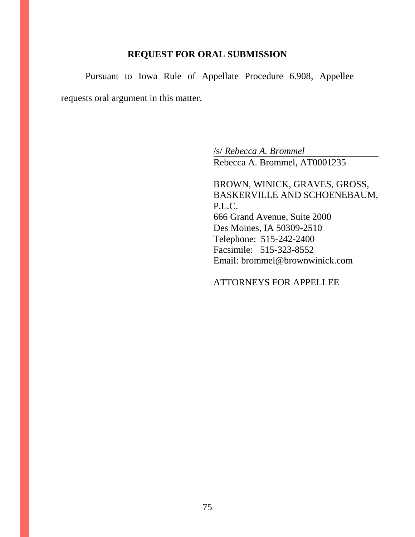### **REQUEST FOR ORAL SUBMISSION**

Pursuant to Iowa Rule of Appellate Procedure 6.908, Appellee requests oral argument in this matter.

> /s/ *Rebecca A. Brommel* Rebecca A. Brommel, AT0001235

BROWN, WINICK, GRAVES, GROSS, BASKERVILLE AND SCHOENEBAUM, P.L.C. 666 Grand Avenue, Suite 2000 Des Moines, IA 50309-2510 Telephone: 515-242-2400 Facsimile: 515-323-8552 Email: brommel@brownwinick.com

### ATTORNEYS FOR APPELLEE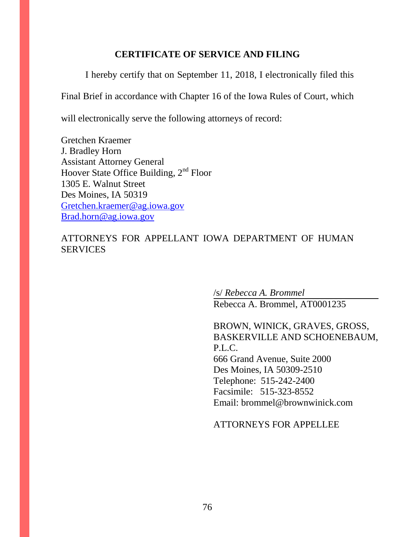## **CERTIFICATE OF SERVICE AND FILING**

I hereby certify that on September 11, 2018, I electronically filed this

Final Brief in accordance with Chapter 16 of the Iowa Rules of Court, which

will electronically serve the following attorneys of record:

Gretchen Kraemer J. Bradley Horn Assistant Attorney General Hoover State Office Building, 2<sup>nd</sup> Floor 1305 E. Walnut Street Des Moines, IA 50319 [Gretchen.kraemer@ag.iowa.gov](mailto:Gretchen.kraemer@ag.iowa.gov) [Brad.horn@ag.iowa.gov](mailto:Brad.horn@ag.iowa.gov)

## ATTORNEYS FOR APPELLANT IOWA DEPARTMENT OF HUMAN **SERVICES**

/s/ *Rebecca A. Brommel*

Rebecca A. Brommel, AT0001235

BROWN, WINICK, GRAVES, GROSS, BASKERVILLE AND SCHOENEBAUM, P.L.C. 666 Grand Avenue, Suite 2000 Des Moines, IA 50309-2510 Telephone: 515-242-2400 Facsimile: 515-323-8552 Email: brommel@brownwinick.com

#### ATTORNEYS FOR APPELLEE